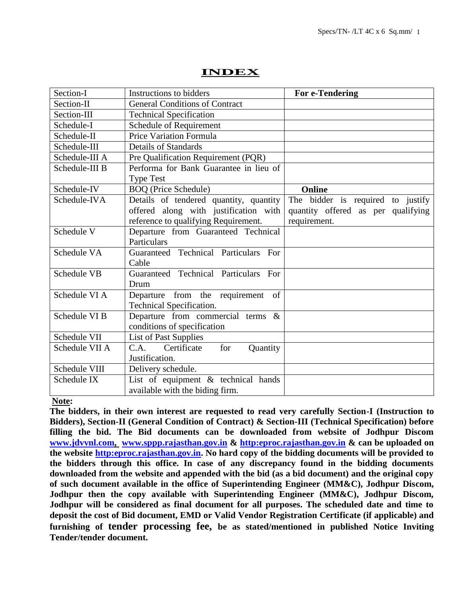| Section-I      | Instructions to bidders                | <b>For e-Tendering</b>             |
|----------------|----------------------------------------|------------------------------------|
| Section-II     | <b>General Conditions of Contract</b>  |                                    |
| Section-III    | <b>Technical Specification</b>         |                                    |
| Schedule-I     | Schedule of Requirement                |                                    |
| Schedule-II    | <b>Price Variation Formula</b>         |                                    |
| Schedule-III   | <b>Details of Standards</b>            |                                    |
| Schedule-III A | Pre Qualification Requirement (PQR)    |                                    |
| Schedule-III B | Performa for Bank Guarantee in lieu of |                                    |
|                | <b>Type Test</b>                       |                                    |
| Schedule-IV    | <b>BOQ</b> (Price Schedule)            | <b>Online</b>                      |
| Schedule-IVA   | Details of tendered quantity, quantity | The bidder is required to justify  |
|                | offered along with justification with  | quantity offered as per qualifying |
|                | reference to qualifying Requirement.   | requirement.                       |
| Schedule V     | Departure from Guaranteed Technical    |                                    |
|                | Particulars                            |                                    |
| Schedule VA    | Guaranteed Technical Particulars For   |                                    |
|                | Cable                                  |                                    |
| Schedule VB    | Guaranteed Technical Particulars For   |                                    |
|                | Drum                                   |                                    |
| Schedule VI A  | Departure from the requirement of      |                                    |
|                | Technical Specification.               |                                    |
| Schedule VI B  | Departure from commercial terms &      |                                    |
|                | conditions of specification            |                                    |
| Schedule VII   | <b>List of Past Supplies</b>           |                                    |
| Schedule VII A | Certificate<br>for<br>C.A.<br>Quantity |                                    |
|                | Justification.                         |                                    |
| Schedule VIII  | Delivery schedule.                     |                                    |
| Schedule IX    | List of equipment $\&$ technical hands |                                    |
|                | available with the biding firm.        |                                    |

# **INDEX**

# **Note:**

**The bidders, in their own interest are requested to read very carefully Section-I (Instruction to Bidders), Section-II (General Condition of Contract) & Section-III (Technical Specification) before filling the bid. The Bid documents can be downloaded from website of Jodhpur Discom [www.jdvvnl.com,](http://www.jdvvnl.com/) [www.sppp.rajasthan.gov.in](http://www.sppp.raj.nic.in/) & [http:eproc.rajasthan.gov.in](file:///F:\sk%20bhati%20sir\d\S%20K%20Bhati%20c%20drive\ss\SKB\Bhati-08\TN-1212%20ONWARDS\TN-1245%2033KV%203C%20300%20HT%20Cable\TN1245%20Spec\Specs%20Section-III%20.doc) & can be uploaded on the website [http:eproc.rajasthan.gov.in.](file:\\192.168.16.65\sk%20bhati%20sir\d\S%20K%20Bhati%20c%20drive\ss\SKB\Bhati-08\TN-937%20Onwards%20(2013-14)\TN-943%2033%20KV%20Pin%20Insulator\Specs%20Section-III%20.doc) No hard copy of the bidding documents will be provided to the bidders through this office. In case of any discrepancy found in the bidding documents downloaded from the website and appended with the bid (as a bid document) and the original copy of such document available in the office of Superintending Engineer (MM&C), Jodhpur Discom, Jodhpur then the copy available with Superintending Engineer (MM&C), Jodhpur Discom, Jodhpur will be considered as final document for all purposes. The scheduled date and time to deposit the cost of Bid document, EMD or Valid Vendor Registration Certificate (if applicable) and furnishing of tender processing fee, be as stated/mentioned in published Notice Inviting Tender/tender document.**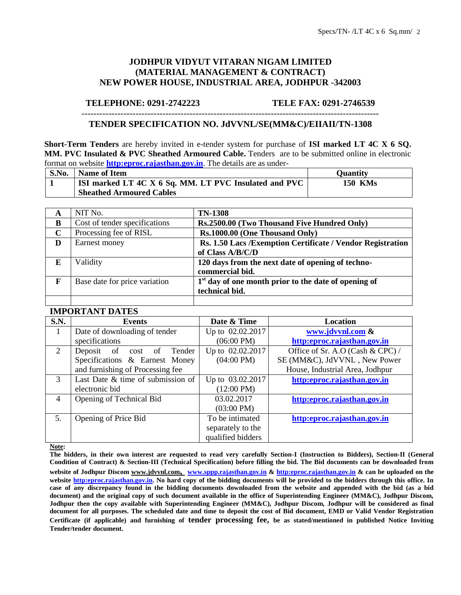### **JODHPUR VIDYUT VITARAN NIGAM LIMITED (MATERIAL MANAGEMENT & CONTRACT) NEW POWER HOUSE, INDUSTRIAL AREA, JODHPUR -342003**

#### **TELEPHONE: 0291-2742223 TELE FAX: 0291-2746539**

### --------------------------------------------------------------------------------------------------- **TENDER SPECIFICATION NO. JdVVNL/SE(MM&C)/EIIAII/TN-1308**

**Short-Term Tenders** are hereby invited in e-tender system for purchase of **ISI marked LT 4C X 6 SQ. MM. PVC Insulated & PVC Sheathed Armoured Cable.** Tenders are to be submitted online in electronic format on website **[http:eproc.rajasthan.gov.in](http://www.eproc.rajasthan.gov.in/nicgep/app)**. The details are as under-

| S.No. | Name of Item                                          | <b>Ouantity</b> |
|-------|-------------------------------------------------------|-----------------|
|       | ISI marked LT 4C X 6 Sq. MM. LT PVC Insulated and PVC | <b>150 KMs</b>  |
|       | <b>Sheathed Armoured Cables</b>                       |                 |

| A | NIT No.                       | <b>TN-1308</b>                                              |
|---|-------------------------------|-------------------------------------------------------------|
| B | Cost of tender specifications | Rs.2500.00 (Two Thousand Five Hundred Only)                 |
| C | Processing fee of RISL        | Rs.1000.00 (One Thousand Only)                              |
| D | Earnest money                 | Rs. 1.50 Lacs / Exemption Certificate / Vendor Registration |
|   |                               | of Class A/B/C/D                                            |
| E | Validity                      | 120 days from the next date of opening of techno-           |
|   |                               | commercial bid.                                             |
| F | Base date for price variation | $1st$ day of one month prior to the date of opening of      |
|   |                               | technical bid.                                              |
|   |                               |                                                             |

#### **IMPORTANT DATES**

| S.N.           | <b>Events</b>                     | Date & Time          | Location                         |
|----------------|-----------------------------------|----------------------|----------------------------------|
| 1              | Date of downloading of tender     | Up to 02.02.2017     | www.jdvvnl.com &                 |
|                | specifications                    | $(06:00 \text{ PM})$ | http:eproc.rajasthan.gov.in      |
| $\overline{2}$ | Deposit of<br>Tender<br>cost of   | Up to 02.02.2017     | Office of Sr. A.O (Cash & CPC) / |
|                | Specifications & Earnest Money    | $(04:00 \text{ PM})$ | SE (MM&C), JdVVNL, New Power     |
|                | and furnishing of Processing fee  |                      | House, Industrial Area, Jodhpur  |
| 3              | Last Date & time of submission of | Up to 03.02.2017     | http:eproc.rajasthan.gov.in      |
| electronic bid |                                   | $(12:00 \text{ PM})$ |                                  |
| $\overline{4}$ | Opening of Technical Bid          | 03.02.2017           | http:eproc.rajasthan.gov.in      |
|                |                                   | $(03:00 \text{ PM})$ |                                  |
| 5.             | Opening of Price Bid              | To be intimated      | http:eproc.rajasthan.gov.in      |
|                |                                   | separately to the    |                                  |
|                |                                   | qualified bidders    |                                  |

**Note:** 

**The bidders, in their own interest are requested to read very carefully Section-I (Instruction to Bidders), Section-II (General Condition of Contract) & Section-III (Technical Specification) before filling the bid. The Bid documents can be downloaded from website of Jodhpur Discom www.jdvvnl.com, [www.sppp.rajasthan.gov.in](http://www.sppp.raj.nic.in/) & [http:eproc.rajasthan.gov.in](Specs%20Section-III%20.doc) & can be uploaded on the website [http:eproc.rajasthan.gov.in.](file:\\192.168.16.65\sk%20bhati%20sir\d\S%20K%20Bhati%20c%20drive\ss\SKB\Bhati-08\TN-937%20Onwards%20(2013-14)\TN-943%2033%20KV%20Pin%20Insulator\Specs%20Section-III%20.doc) No hard copy of the bidding documents will be provided to the bidders through this office. In case of any discrepancy found in the bidding documents downloaded from the website and appended with the bid (as a bid document) and the original copy of such document available in the office of Superintending Engineer (MM&C), Jodhpur Discom, Jodhpur then the copy available with Superintending Engineer (MM&C), Jodhpur Discom, Jodhpur will be considered as final document for all purposes. The scheduled date and time to deposit the cost of Bid document, EMD or Valid Vendor Registration Certificate (if applicable) and furnishing of tender processing fee, be as stated/mentioned in published Notice Inviting Tender/tender document.**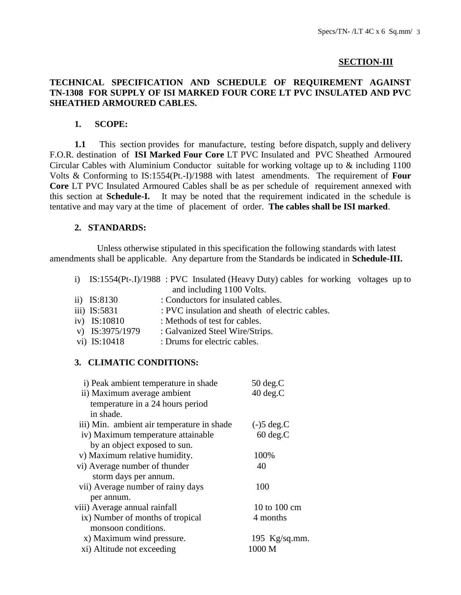### **SECTION-III**

# **TECHNICAL SPECIFICATION AND SCHEDULE OF REQUIREMENT AGAINST TN-1308 FOR SUPPLY OF ISI MARKED FOUR CORE LT PVC INSULATED AND PVC SHEATHED ARMOURED CABLES.**

### **1. SCOPE:**

**1.1** This section provides for manufacture, testing before dispatch, supply and delivery F.O.R. destination of **ISI Marked Four Core** LT PVC Insulated and PVC Sheathed Armoured Circular Cables with Aluminium Conductor suitable for working voltage up to & including 1100 Volts & Conforming to IS:1554(Pt.-I)/1988 with latest amendments. The requirement of **Four Core** LT PVC Insulated Armoured Cables shall be as per schedule of requirement annexed with this section at **Schedule-I.** It may be noted that the requirement indicated in the schedule is tentative and may vary at the time of placement of order. **The cables shall be ISI marked**.

### **2. STANDARDS:**

 Unless otherwise stipulated in this specification the following standards with latest amendments shall be applicable. Any departure from the Standards be indicated in **Schedule-III.**

- i) IS:1554(Pt-.I)/1988 : PVC Insulated (Heavy Duty) cables for working voltages up to and including 1100 Volts.
- ii) IS:8130 : Conductors for insulated cables.
- iii) IS:5831 : PVC insulation and sheath of electric cables.
- iv) IS:10810 : Methods of test for cables.
- v) IS:3975/1979 : Galvanized Steel Wire/Strips.
- vi) IS:10418 : Drums for electric cables.

### **3. CLIMATIC CONDITIONS:**

| i) Peak ambient temperature in shade       | $50 \deg.C$        |
|--------------------------------------------|--------------------|
| ii) Maximum average ambient                | $40 \text{ deg.C}$ |
| temperature in a 24 hours period           |                    |
| in shade.                                  |                    |
| iii) Min. ambient air temperature in shade | $(-)5 \deg.C$      |
| iv) Maximum temperature attainable         | $60 \text{ deg.C}$ |
| by an object exposed to sun.               |                    |
| v) Maximum relative humidity.              | 100%               |
| vi) Average number of thunder              | 40                 |
| storm days per annum.                      |                    |
| vii) Average number of rainy days          | 100                |
| per annum.                                 |                    |
| viii) Average annual rainfall              | 10 to 100 cm       |
| ix) Number of months of tropical           | 4 months           |
| monsoon conditions.                        |                    |
| x) Maximum wind pressure.                  | 195 $Kg/sq.mm$ .   |
| xi) Altitude not exceeding                 | 1000 M             |
|                                            |                    |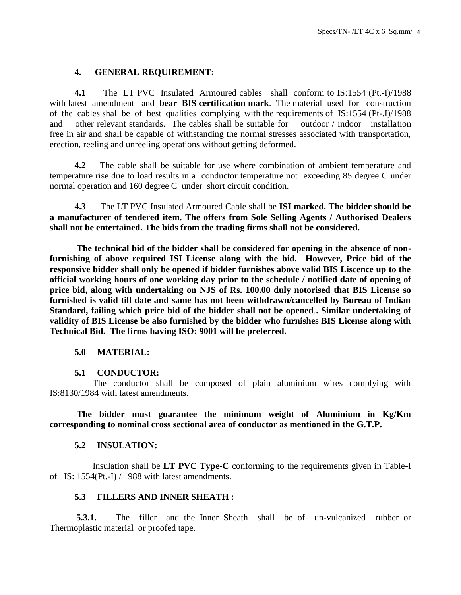### **4. GENERAL REQUIREMENT:**

 **4.1** The LT PVC Insulated Armoured cables shall conform to IS:1554 (Pt.-I)/1988 with latest amendment and **bear BIS certification mark**. The material used for construction of the cables shall be of best qualities complying with the requirements of IS:1554 (Pt-.I)/1988 and other relevant standards. The cables shall be suitable for outdoor / indoor installation free in air and shall be capable of withstanding the normal stresses associated with transportation, erection, reeling and unreeling operations without getting deformed.

 **4.2** The cable shall be suitable for use where combination of ambient temperature and temperature rise due to load results in a conductor temperature not exceeding 85 degree C under normal operation and 160 degree C under short circuit condition.

 **4.3** The LT PVC Insulated Armoured Cable shall be **ISI marked. The bidder should be a manufacturer of tendered item. The offers from Sole Selling Agents / Authorised Dealers shall not be entertained. The bids from the trading firms shall not be considered.**

**The technical bid of the bidder shall be considered for opening in the absence of nonfurnishing of above required ISI License along with the bid. However, Price bid of the responsive bidder shall only be opened if bidder furnishes above valid BIS Liscence up to the official working hours of one working day prior to the schedule / notified date of opening of price bid, along with undertaking on NJS of Rs. 100.00 duly notorised that BIS License so furnished is valid till date and same has not been withdrawn/cancelled by Bureau of Indian Standard, failing which price bid of the bidder shall not be opened**.**. Similar undertaking of validity of BIS License be also furnished by the bidder who furnishes BIS License along with Technical Bid. The firms having ISO: 9001 will be preferred.** 

### **5.0 MATERIAL:**

### **5.1 CONDUCTOR:**

 The conductor shall be composed of plain aluminium wires complying with IS:8130/1984 with latest amendments.

**The bidder must guarantee the minimum weight of Aluminium in Kg/Km corresponding to nominal cross sectional area of conductor as mentioned in the G.T.P.**

### **5.2 INSULATION:**

 Insulation shall be **LT PVC Type-C** conforming to the requirements given in Table-I of IS: 1554(Pt.-I) / 1988 with latest amendments.

### **5.3 FILLERS AND INNER SHEATH :**

**5.3.1.** The filler and the Inner Sheath shall be of un-vulcanized rubber or Thermoplastic material or proofed tape.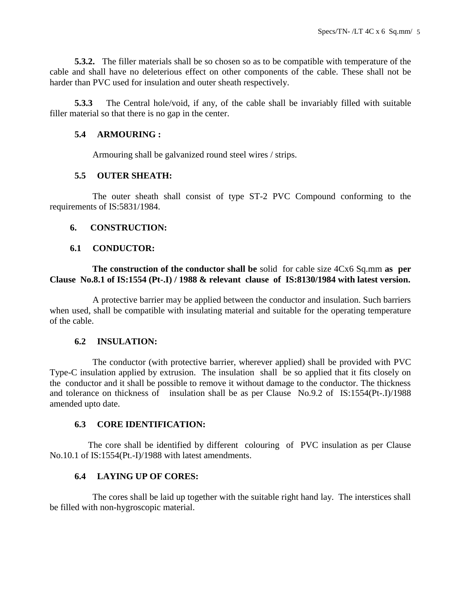**5.3.2.** The filler materials shall be so chosen so as to be compatible with temperature of the cable and shall have no deleterious effect on other components of the cable. These shall not be harder than PVC used for insulation and outer sheath respectively.

 **5.3.3** The Central hole/void, if any, of the cable shall be invariably filled with suitable filler material so that there is no gap in the center.

### **5.4 ARMOURING :**

Armouring shall be galvanized round steel wires / strips.

# **5.5 OUTER SHEATH:**

 The outer sheath shall consist of type ST-2 PVC Compound conforming to the requirements of IS:5831/1984.

# **6. CONSTRUCTION:**

# **6.1 CONDUCTOR:**

### **The construction of the conductor shall be** solid for cable size 4Cx6 Sq.mm **as per Clause No.8.1 of IS:1554 (Pt-.I) / 1988 & relevant clause of IS:8130/1984 with latest version.**

 A protective barrier may be applied between the conductor and insulation. Such barriers when used, shall be compatible with insulating material and suitable for the operating temperature of the cable.

### **6.2 INSULATION:**

 The conductor (with protective barrier, wherever applied) shall be provided with PVC Type-C insulation applied by extrusion. The insulation shall be so applied that it fits closely on the conductor and it shall be possible to remove it without damage to the conductor. The thickness and tolerance on thickness of insulation shall be as per Clause No.9.2 of IS:1554(Pt-.I)/1988 amended upto date.

### **6.3 CORE IDENTIFICATION:**

 The core shall be identified by different colouring of PVC insulation as per Clause No.10.1 of IS:1554(Pt.-I)/1988 with latest amendments.

# **6.4 LAYING UP OF CORES:**

 The cores shall be laid up together with the suitable right hand lay. The interstices shall be filled with non-hygroscopic material.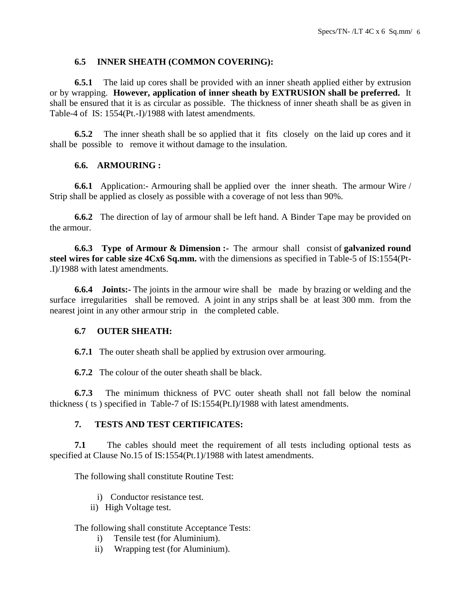# **6.5 INNER SHEATH (COMMON COVERING):**

 **6.5.1** The laid up cores shall be provided with an inner sheath applied either by extrusion or by wrapping. **However, application of inner sheath by EXTRUSION shall be preferred.** It shall be ensured that it is as circular as possible. The thickness of inner sheath shall be as given in Table-4 of IS: 1554(Pt.-I)/1988 with latest amendments.

 **6.5.2** The inner sheath shall be so applied that it fits closely on the laid up cores and it shall be possible to remove it without damage to the insulation.

# **6.6. ARMOURING :**

 **6.6.1** Application:- Armouring shall be applied over the inner sheath. The armour Wire / Strip shall be applied as closely as possible with a coverage of not less than 90%.

 **6.6.2** The direction of lay of armour shall be left hand. A Binder Tape may be provided on the armour.

 **6.6.3 Type of Armour & Dimension :-** The armour shall consist of **galvanized round steel wires for cable size 4Cx6 Sq.mm.** with the dimensions as specified in Table-5 of IS:1554(Pt- .I)/1988 with latest amendments.

 **6.6.4 Joints:-** The joints in the armour wire shall be made by brazing or welding and the surface irregularities shall be removed. A joint in any strips shall be at least 300 mm. from the nearest joint in any other armour strip in the completed cable.

### **6.7 OUTER SHEATH:**

**6.7.1** The outer sheath shall be applied by extrusion over armouring.

**6.7.2** The colour of the outer sheath shall be black.

 **6.7.3** The minimum thickness of PVC outer sheath shall not fall below the nominal thickness ( ts ) specified in Table-7 of IS:1554(Pt.I)/1988 with latest amendments.

### **7. TESTS AND TEST CERTIFICATES:**

 **7.1** The cables should meet the requirement of all tests including optional tests as specified at Clause No.15 of IS:1554(Pt.1)/1988 with latest amendments.

The following shall constitute Routine Test:

- i) Conductor resistance test.
- ii) High Voltage test.

### The following shall constitute Acceptance Tests:

- i) Tensile test (for Aluminium).
- ii) Wrapping test (for Aluminium).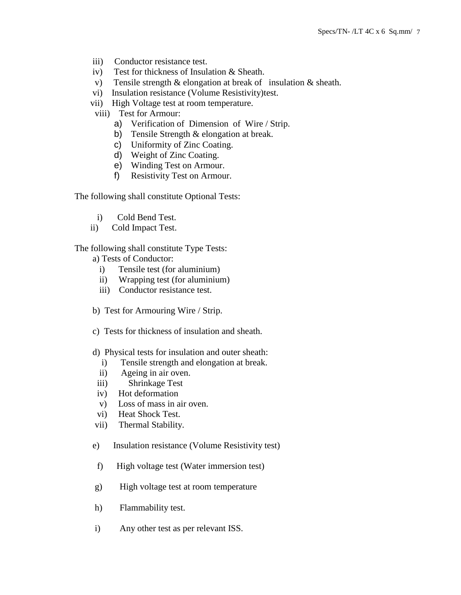- iii) Conductor resistance test.
- iv) Test for thickness of Insulation & Sheath.
- v) Tensile strength & elongation at break of insulation & sheath.
- vi) Insulation resistance (Volume Resistivity)test.
- vii) High Voltage test at room temperature.
- viii) Test for Armour:
	- a) Verification of Dimension of Wire / Strip.
	- b) Tensile Strength & elongation at break.
	- c) Uniformity of Zinc Coating.
	- d) Weight of Zinc Coating.
	- e) Winding Test on Armour.
	- f) Resistivity Test on Armour.

The following shall constitute Optional Tests:

- i) Cold Bend Test.
- ii) Cold Impact Test.

The following shall constitute Type Tests:

a) Tests of Conductor:

- i) Tensile test (for aluminium)
- ii) Wrapping test (for aluminium)
- iii) Conductor resistance test.
- b) Test for Armouring Wire / Strip.
- c) Tests for thickness of insulation and sheath.
- d) Physical tests for insulation and outer sheath:
	- i) Tensile strength and elongation at break.
	- ii) Ageing in air oven.
- iii) Shrinkage Test
- iv) Hot deformation
- v) Loss of mass in air oven.
- vi) Heat Shock Test.
- vii) Thermal Stability.
- e) Insulation resistance (Volume Resistivity test)
- f) High voltage test (Water immersion test)
- g) High voltage test at room temperature
- h) Flammability test.
- i) Any other test as per relevant ISS.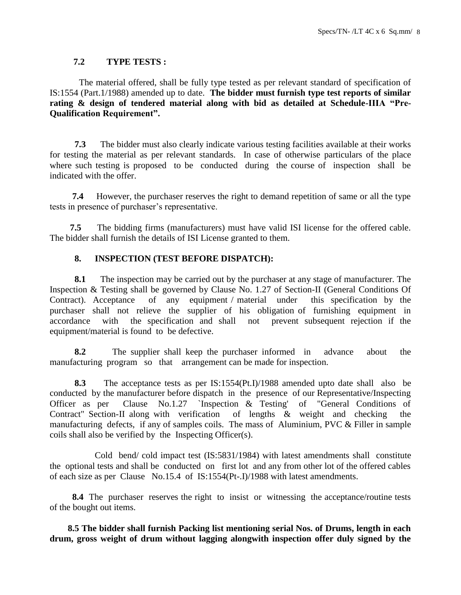### **7.2 TYPE TESTS :**

 The material offered, shall be fully type tested as per relevant standard of specification of IS:1554 (Part.1/1988) amended up to date. **The bidder must furnish type test reports of similar rating & design of tendered material along with bid as detailed at Schedule-IIIA "Pre-Qualification Requirement".**

 **7.3** The bidder must also clearly indicate various testing facilities available at their works for testing the material as per relevant standards. In case of otherwise particulars of the place where such testing is proposed to be conducted during the course of inspection shall be indicated with the offer.

 **7.4** However, the purchaser reserves the right to demand repetition of same or all the type tests in presence of purchaser's representative.

 **7.5** The bidding firms (manufacturers) must have valid ISI license for the offered cable. The bidder shall furnish the details of ISI License granted to them.

# **8. INSPECTION (TEST BEFORE DISPATCH):**

 **8.1** The inspection may be carried out by the purchaser at any stage of manufacturer. The Inspection & Testing shall be governed by Clause No. 1.27 of Section-II (General Conditions Of Contract). Acceptance of any equipment / material under this specification by the purchaser shall not relieve the supplier of his obligation of furnishing equipment in accordance with the specification and shall not prevent subsequent rejection if the equipment/material is found to be defective.

 **8.2** The supplier shall keep the purchaser informed in advance about the manufacturing program so that arrangement can be made for inspection.

 **8.3** The acceptance tests as per IS:1554(Pt.I)/1988 amended upto date shall also be conducted by the manufacturer before dispatch in the presence of our Representative/Inspecting Officer as per Clause No.1.27 `Inspection & Testing' of "General Conditions of Contract" Section-II along with verification of lengths & weight and checking the manufacturing defects, if any of samples coils. The mass of Aluminium, PVC & Filler in sample coils shall also be verified by the Inspecting Officer(s).

 Cold bend/ cold impact test (IS:5831/1984) with latest amendments shall constitute the optional tests and shall be conducted on first lot and any from other lot of the offered cables of each size as per Clause No.15.4 of IS:1554(Pt-.I)/1988 with latest amendments.

 **8.4** The purchaser reserves the right to insist or witnessing the acceptance/routine tests of the bought out items.

 **8.5 The bidder shall furnish Packing list mentioning serial Nos. of Drums, length in each drum, gross weight of drum without lagging alongwith inspection offer duly signed by the**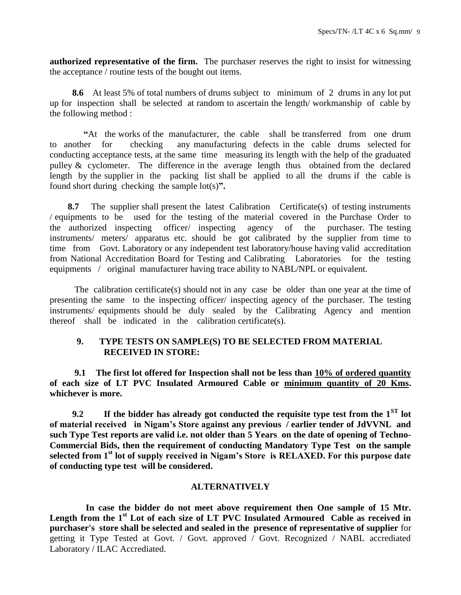**authorized representative of the firm.** The purchaser reserves the right to insist for witnessing the acceptance / routine tests of the bought out items.

 **8.6** At least 5% of total numbers of drums subject to minimum of 2 drums in any lot put up for inspection shall be selected at random to ascertain the length/ workmanship of cable by the following method :

 **"**At the works of the manufacturer, the cable shall be transferred from one drum to another for checking any manufacturing defects in the cable drums selected for conducting acceptance tests, at the same time measuring its length with the help of the graduated pulley & cyclometer. The difference in the average length thus obtained from the declared length by the supplier in the packing list shall be applied to all the drums if the cable is found short during checking the sample lot(s)**".**

**8.7** The supplier shall present the latest Calibration Certificate(s) of testing instruments / equipments to be used for the testing of the material covered in the Purchase Order to the authorized inspecting officer/ inspecting agency of the purchaser. The testing instruments/ meters/ apparatus etc. should be got calibrated by the supplier from time to time from Govt. Laboratory or any independent test laboratory/house having valid accreditation from National Accreditation Board for Testing and Calibrating Laboratories for the testing equipments / original manufacturer having trace ability to NABL/NPL or equivalent.

 The calibration certificate(s) should not in any case be older than one year at the time of presenting the same to the inspecting officer/ inspecting agency of the purchaser. The testing instruments/ equipments should be duly sealed by the Calibrating Agency and mention thereof shall be indicated in the calibration certificate(s).

### **9. TYPE TESTS ON SAMPLE(S) TO BE SELECTED FROM MATERIAL RECEIVED IN STORE:**

 **9.1 The first lot offered for Inspection shall not be less than 10% of ordered quantity of each size of LT PVC Insulated Armoured Cable or minimum quantity of 20 Kms. whichever is more.**

 **9.2 If the bidder has already got conducted the requisite type test from the 1ST lot of material received in Nigam's Store against any previous / earlier tender of JdVVNL and such Type Test reports are valid i.e. not older than 5 Years on the date of opening of Techno-Commercial Bids, then the requirement of conducting Mandatory Type Test on the sample selected from 1st lot of supply received in Nigam's Store is RELAXED. For this purpose date of conducting type test will be considered.**

### **ALTERNATIVELY**

 **In case the bidder do not meet above requirement then One sample of 15 Mtr. Length from the 1st Lot of each size of LT PVC Insulated Armoured Cable as received in purchaser's store shall be selected and sealed in the presence of representative of supplier** for getting it Type Tested at Govt. / Govt. approved / Govt. Recognized / NABL accrediated Laboratory / ILAC Accrediated.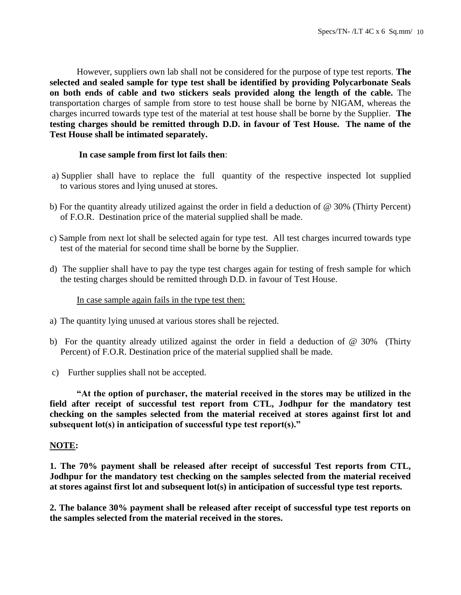However, suppliers own lab shall not be considered for the purpose of type test reports. **The selected and sealed sample for type test shall be identified by providing Polycarbonate Seals on both ends of cable and two stickers seals provided along the length of the cable.** The transportation charges of sample from store to test house shall be borne by NIGAM, whereas the charges incurred towards type test of the material at test house shall be borne by the Supplier. **The testing charges should be remitted through D.D. in favour of Test House. The name of the Test House shall be intimated separately.**

# **In case sample from first lot fails then**:

- a) Supplier shall have to replace the full quantity of the respective inspected lot supplied to various stores and lying unused at stores.
- b) For the quantity already utilized against the order in field a deduction of @ 30% (Thirty Percent) of F.O.R. Destination price of the material supplied shall be made.
- c) Sample from next lot shall be selected again for type test. All test charges incurred towards type test of the material for second time shall be borne by the Supplier.
- d) The supplier shall have to pay the type test charges again for testing of fresh sample for which the testing charges should be remitted through D.D. in favour of Test House.

In case sample again fails in the type test then:

- a) The quantity lying unused at various stores shall be rejected.
- b) For the quantity already utilized against the order in field a deduction of  $\omega$  30% (Thirty Percent) of F.O.R. Destination price of the material supplied shall be made.
- c) Further supplies shall not be accepted.

**"At the option of purchaser, the material received in the stores may be utilized in the field after receipt of successful test report from CTL, Jodhpur for the mandatory test checking on the samples selected from the material received at stores against first lot and subsequent lot(s) in anticipation of successful type test report(s)."**

### **NOTE:**

**1. The 70% payment shall be released after receipt of successful Test reports from CTL, Jodhpur for the mandatory test checking on the samples selected from the material received at stores against first lot and subsequent lot(s) in anticipation of successful type test reports.**

**2. The balance 30% payment shall be released after receipt of successful type test reports on the samples selected from the material received in the stores.**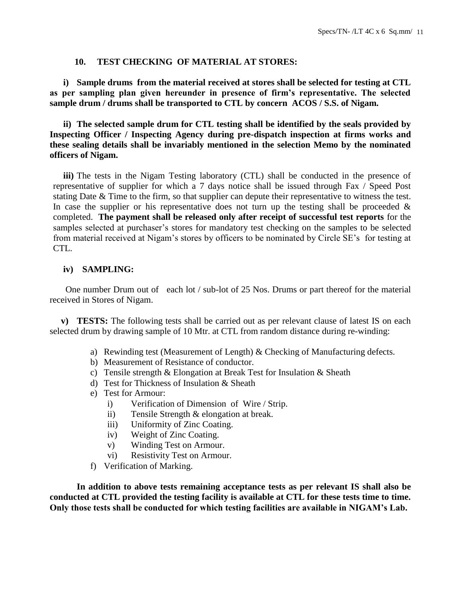### **10. TEST CHECKING OF MATERIAL AT STORES:**

**i) Sample drums from the material received at stores shall be selected for testing at CTL as per sampling plan given hereunder in presence of firm's representative. The selected sample drum / drums shall be transported to CTL by concern ACOS / S.S. of Nigam.**

**ii) The selected sample drum for CTL testing shall be identified by the seals provided by Inspecting Officer / Inspecting Agency during pre-dispatch inspection at firms works and these sealing details shall be invariably mentioned in the selection Memo by the nominated officers of Nigam.**

**iii)** The tests in the Nigam Testing laboratory (CTL) shall be conducted in the presence of representative of supplier for which a 7 days notice shall be issued through Fax / Speed Post stating Date & Time to the firm, so that supplier can depute their representative to witness the test. In case the supplier or his representative does not turn up the testing shall be proceeded  $\&$ completed. **The payment shall be released only after receipt of successful test reports** for the samples selected at purchaser's stores for mandatory test checking on the samples to be selected from material received at Nigam's stores by officers to be nominated by Circle SE's for testing at CTL.

### **iv) SAMPLING:**

 One number Drum out of each lot / sub-lot of 25 Nos. Drums or part thereof for the material received in Stores of Nigam.

 **v) TESTS:** The following tests shall be carried out as per relevant clause of latest IS on each selected drum by drawing sample of 10 Mtr. at CTL from random distance during re-winding:

- a) Rewinding test (Measurement of Length)  $\&$  Checking of Manufacturing defects.
- b) Measurement of Resistance of conductor.
- c) Tensile strength & Elongation at Break Test for Insulation & Sheath
- d) Test for Thickness of Insulation & Sheath
- e) Test for Armour:
	- i) Verification of Dimension of Wire / Strip.
	- ii) Tensile Strength & elongation at break.
	- iii) Uniformity of Zinc Coating.
	- iv) Weight of Zinc Coating.
	- v) Winding Test on Armour.
	- vi) Resistivity Test on Armour.
- f) Verification of Marking.

**In addition to above tests remaining acceptance tests as per relevant IS shall also be conducted at CTL provided the testing facility is available at CTL for these tests time to time. Only those tests shall be conducted for which testing facilities are available in NIGAM's Lab.**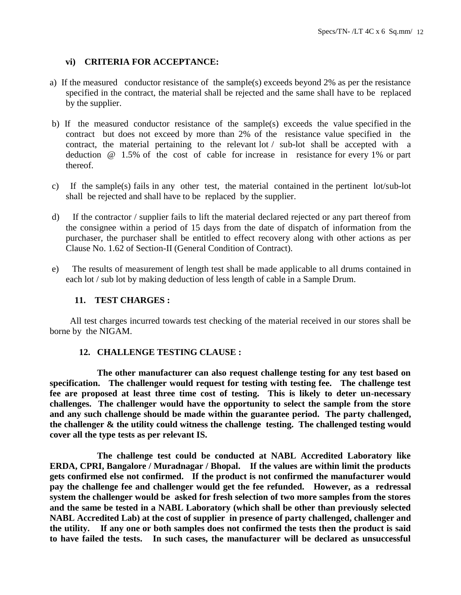# **vi) CRITERIA FOR ACCEPTANCE:**

- a) If the measured conductor resistance of the sample(s) exceeds beyond 2% as per the resistance specified in the contract, the material shall be rejected and the same shall have to be replaced by the supplier.
- b) If the measured conductor resistance of the sample(s) exceeds the value specified in the contract but does not exceed by more than 2% of the resistance value specified in the contract, the material pertaining to the relevant lot / sub-lot shall be accepted with a deduction @ 1.5% of the cost of cable for increase in resistance for every 1% or part thereof.
- c) If the sample(s) fails in any other test, the material contained in the pertinent lot/sub-lot shall be rejected and shall have to be replaced by the supplier.
- d) If the contractor / supplier fails to lift the material declared rejected or any part thereof from the consignee within a period of 15 days from the date of dispatch of information from the purchaser, the purchaser shall be entitled to effect recovery along with other actions as per Clause No. 1.62 of Section-II (General Condition of Contract).
- e) The results of measurement of length test shall be made applicable to all drums contained in each lot / sub lot by making deduction of less length of cable in a Sample Drum.

### **11. TEST CHARGES :**

 All test charges incurred towards test checking of the material received in our stores shall be borne by the NIGAM.

### **12. CHALLENGE TESTING CLAUSE :**

 **The other manufacturer can also request challenge testing for any test based on specification. The challenger would request for testing with testing fee. The challenge test fee are proposed at least three time cost of testing. This is likely to deter un-necessary challenges. The challenger would have the opportunity to select the sample from the store and any such challenge should be made within the guarantee period. The party challenged, the challenger & the utility could witness the challenge testing. The challenged testing would cover all the type tests as per relevant IS.** 

 **The challenge test could be conducted at NABL Accredited Laboratory like ERDA, CPRI, Bangalore / Muradnagar / Bhopal. If the values are within limit the products gets confirmed else not confirmed. If the product is not confirmed the manufacturer would pay the challenge fee and challenger would get the fee refunded. However, as a redressal system the challenger would be asked for fresh selection of two more samples from the stores and the same be tested in a NABL Laboratory (which shall be other than previously selected NABL Accredited Lab) at the cost of supplier in presence of party challenged, challenger and the utility. If any one or both samples does not confirmed the tests then the product is said to have failed the tests. In such cases, the manufacturer will be declared as unsuccessful**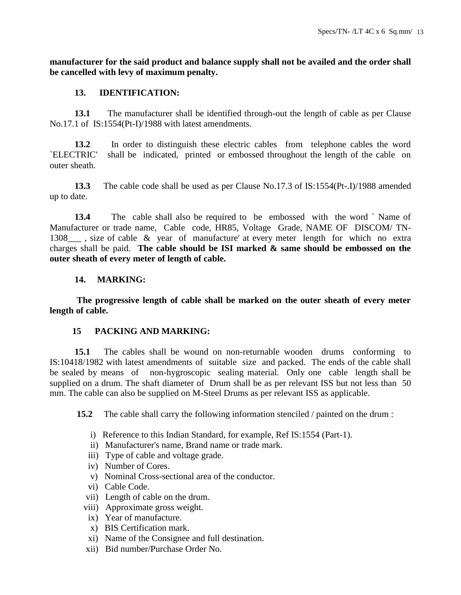**manufacturer for the said product and balance supply shall not be availed and the order shall be cancelled with levy of maximum penalty.** 

### **13. IDENTIFICATION:**

 **13.1** The manufacturer shall be identified through-out the length of cable as per Clause No.17.1 of IS:1554(Pt-I)/1988 with latest amendments.

 **13.2** In order to distinguish these electric cables from telephone cables the word `ELECTRIC' shall be indicated, printed or embossed throughout the length of the cable on outer sheath.

 **13.3** The cable code shall be used as per Clause No.17.3 of IS:1554(Pt-.I)/1988 amended up to date.

 **13.4** The cable shall also be required to be embossed with the word ` Name of Manufacturer or trade name, Cable code, HR85, Voltage Grade, NAME OF DISCOM/ TN-1308\_\_\_ , size of cable & year of manufacture' at every meter length for which no extra charges shall be paid. **The cable should be ISI marked & same should be embossed on the outer sheath of every meter of length of cable.**

# **14. MARKING:**

**The progressive length of cable shall be marked on the outer sheath of every meter length of cable.**

# **15 PACKING AND MARKING:**

 **15.1** The cables shall be wound on non-returnable wooden drums conforming to IS:10418/1982 with latest amendments of suitable size and packed. The ends of the cable shall be sealed by means of non-hygroscopic sealing material. Only one cable length shall be supplied on a drum. The shaft diameter of Drum shall be as per relevant ISS but not less than 50 mm. The cable can also be supplied on M-Steel Drums as per relevant ISS as applicable.

**15.2** The cable shall carry the following information stenciled / painted on the drum :

- i) Reference to this Indian Standard, for example, Ref IS:1554 (Part-1).
- ii) Manufacturer's name, Brand name or trade mark.
- iii) Type of cable and voltage grade.
- iv) Number of Cores.
- v) Nominal Cross-sectional area of the conductor.
- vi) Cable Code.
- vii) Length of cable on the drum.
- viii) Approximate gross weight.
- ix) Year of manufacture.
- x) BIS Certification mark.
- xi) Name of the Consignee and full destination.
- xii) Bid number/Purchase Order No.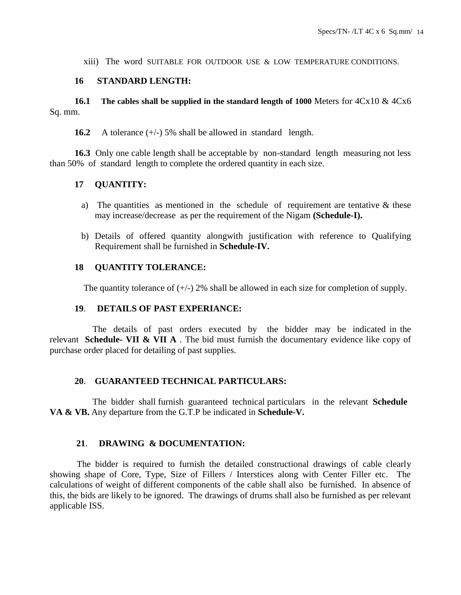xiii) The word SUITABLE FOR OUTDOOR USE & LOW TEMPERATURE CONDITIONS.

### **16 STANDARD LENGTH:**

 **16.1 The cables shall be supplied in the standard length of 1000** Meters for 4Cx10 & 4Cx6 Sq. mm.

**16.2** A tolerance (+/-) 5% shall be allowed in standard length.

 **16.3** Only one cable length shall be acceptable by non-standard length measuring not less than 50% of standard length to complete the ordered quantity in each size.

# **17 QUANTITY:**

- a) The quantities as mentioned in the schedule of requirement are tentative  $\&$  these may increase/decrease as per the requirement of the Nigam **(Schedule-I).**
- b) Details of offered quantity alongwith justification with reference to Qualifying Requirement shall be furnished in **Schedule-IV.**

# **18 QUANTITY TOLERANCE:**

The quantity tolerance of  $(+/-)$  2% shall be allowed in each size for completion of supply.

### **19**. **DETAILS OF PAST EXPERIANCE:**

 The details of past orders executed by the bidder may be indicated in the relevant **Schedule- VII & VII A** . The bid must furnish the documentary evidence like copy of purchase order placed for detailing of past supplies.

### **20**. **GUARANTEED TECHNICAL PARTICULARS:**

 The bidder shall furnish guaranteed technical particulars in the relevant **Schedule VA & VB.** Any departure from the G.T.P be indicated in **Schedule-V.**

# **21**. **DRAWING & DOCUMENTATION:**

The bidder is required to furnish the detailed constructional drawings of cable clearly showing shape of Core, Type, Size of Fillers / Interstices along with Center Filler etc. The calculations of weight of different components of the cable shall also be furnished. In absence of this, the bids are likely to be ignored. The drawings of drums shall also be furnished as per relevant applicable ISS.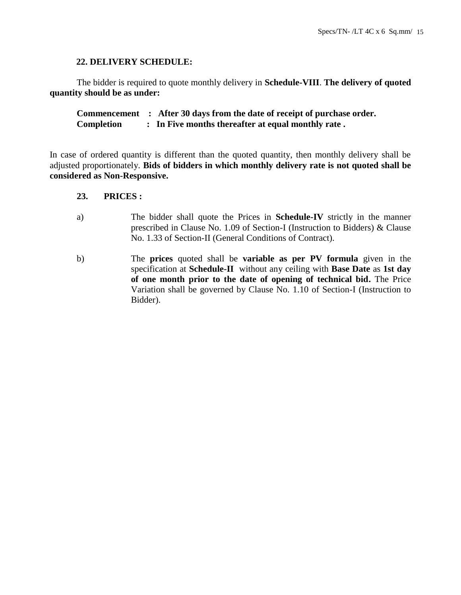### **22. DELIVERY SCHEDULE:**

The bidder is required to quote monthly delivery in **Schedule-VIII**. **The delivery of quoted quantity should be as under:**

**Commencement : After 30 days from the date of receipt of purchase order. Completion : In Five months thereafter at equal monthly rate .**

In case of ordered quantity is different than the quoted quantity, then monthly delivery shall be adjusted proportionately. **Bids of bidders in which monthly delivery rate is not quoted shall be considered as Non-Responsive.**

### **23. PRICES :**

- a) The bidder shall quote the Prices in **Schedule-IV** strictly in the manner prescribed in Clause No. 1.09 of Section-I (Instruction to Bidders) & Clause No. 1.33 of Section-II (General Conditions of Contract).
- b) The **prices** quoted shall be **variable as per PV formula** given in the specification at **Schedule-II** without any ceiling with **Base Date** as **1st day of one month prior to the date of opening of technical bid.** The Price Variation shall be governed by Clause No. 1.10 of Section-I (Instruction to Bidder).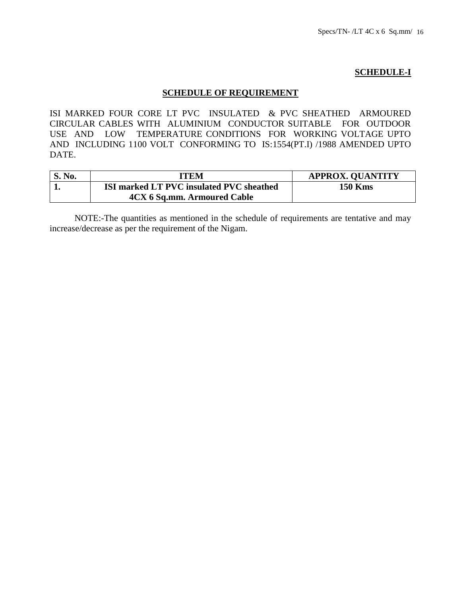# **SCHEDULE-I**

# **SCHEDULE OF REQUIREMENT**

ISI MARKED FOUR CORE LT PVC INSULATED & PVC SHEATHED ARMOURED CIRCULAR CABLES WITH ALUMINIUM CONDUCTOR SUITABLE FOR OUTDOOR USE AND LOW TEMPERATURE CONDITIONS FOR WORKING VOLTAGE UPTO AND INCLUDING 1100 VOLT CONFORMING TO IS:1554(PT.I) /1988 AMENDED UPTO DATE.

| <b>S. No.</b> | ITEM                                     | <b>APPROX. QUANTITY</b> |
|---------------|------------------------------------------|-------------------------|
|               | ISI marked LT PVC insulated PVC sheathed | <b>150 Kms</b>          |
|               | 4CX 6 Sq.mm. Armoured Cable              |                         |

 NOTE:-The quantities as mentioned in the schedule of requirements are tentative and may increase/decrease as per the requirement of the Nigam.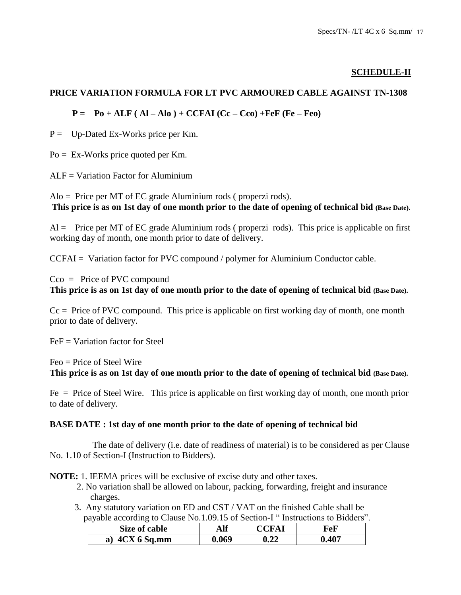# **SCHEDULE-II**

# **PRICE VARIATION FORMULA FOR LT PVC ARMOURED CABLE AGAINST TN-1308**

# $P = Po + ALF (AI - Alo) + CCFAI (Cc - Cco) + FeF (Fe - Feo)$

 $P =$  Up-Dated Ex-Works price per Km.

 $Po = Ex-Works$  price quoted per Km.

 $ALF = Variation Factor for Aluminium$ 

Alo = Price per MT of EC grade Aluminium rods ( properzi rods). **This price is as on 1st day of one month prior to the date of opening of technical bid (Base Date).**

 $Al =$  Price per MT of EC grade Aluminium rods (properzi rods). This price is applicable on first working day of month, one month prior to date of delivery.

CCFAI = Variation factor for PVC compound / polymer for Aluminium Conductor cable.

# Cco = Price of PVC compound **This price is as on 1st day of one month prior to the date of opening of technical bid (Base Date).**

 $Cc = Price of PVC compound. This price is applicable on first working day of month, one month$ prior to date of delivery.

 $FeF = Variation factor for Steel$ 

Feo = Price of Steel Wire

**This price is as on 1st day of one month prior to the date of opening of technical bid (Base Date).**

Fe = Price of Steel Wire. This price is applicable on first working day of month, one month prior to date of delivery.

# **BASE DATE : 1st day of one month prior to the date of opening of technical bid**

 The date of delivery (i.e. date of readiness of material) is to be considered as per Clause No. 1.10 of Section-I (Instruction to Bidders).

**NOTE:** 1. IEEMA prices will be exclusive of excise duty and other taxes.

- 2. No variation shall be allowed on labour, packing, forwarding, freight and insurance charges.
- 3. Any statutory variation on ED and CST / VAT on the finished Cable shall be payable according to Clause No.1.09.15 of Section-I " Instructions to Bidders".

| Size of cable                | Alf   | CCFAI               | FeF   |
|------------------------------|-------|---------------------|-------|
| $\mathbf{C}$ X 6 Sq.mm<br>a) | 0.069 | $\boldsymbol{0.22}$ | 0.407 |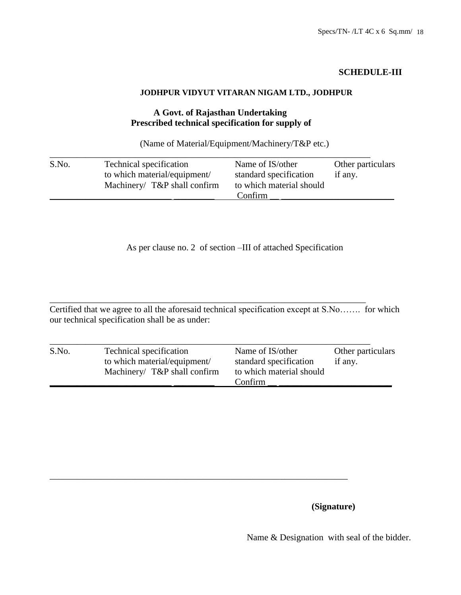# **SCHEDULE-III**

# **JODHPUR VIDYUT VITARAN NIGAM LTD., JODHPUR**

# **A Govt. of Rajasthan Undertaking Prescribed technical specification for supply of**

(Name of Material/Equipment/Machinery/T&P etc.)

| S.No. | Technical specification         | Name of IS/other         | Other particulars |
|-------|---------------------------------|--------------------------|-------------------|
|       | to which material/equipment/    | standard specification   | if any.           |
|       | Machinery/ $T\&P$ shall confirm | to which material should |                   |
|       |                                 | Confirm                  |                   |

As per clause no. 2 of section –III of attached Specification

\_\_\_\_\_\_\_\_\_\_\_\_\_\_\_\_\_\_\_\_\_\_\_\_\_\_\_\_\_\_\_\_\_\_\_\_\_\_\_\_\_\_\_\_\_\_\_\_\_\_\_\_\_\_\_\_\_\_\_\_\_\_\_\_\_\_\_\_\_\_ Certified that we agree to all the aforesaid technical specification except at S.No……. for which our technical specification shall be as under:

| S.No. | Technical specification<br>to which material/equipment/<br>Machinery/ T&P shall confirm | Name of IS/other<br>standard specification<br>to which material should | Other particulars<br>if any. |
|-------|-----------------------------------------------------------------------------------------|------------------------------------------------------------------------|------------------------------|
|       |                                                                                         | Confirm                                                                |                              |

\_\_\_\_\_\_\_\_\_\_\_\_\_\_\_\_\_\_\_\_\_\_\_\_\_\_\_\_\_\_\_\_\_\_\_\_\_\_\_\_\_\_\_\_\_\_\_\_\_\_\_\_\_\_\_\_\_\_\_\_\_\_\_\_\_\_

**(Signature)**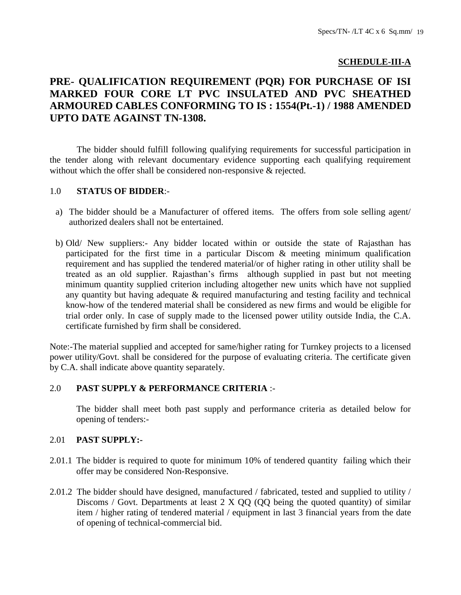# **SCHEDULE-III-A**

# **PRE- QUALIFICATION REQUIREMENT (PQR) FOR PURCHASE OF ISI MARKED FOUR CORE LT PVC INSULATED AND PVC SHEATHED ARMOURED CABLES CONFORMING TO IS : 1554(Pt.-1) / 1988 AMENDED UPTO DATE AGAINST TN-1308.**

The bidder should fulfill following qualifying requirements for successful participation in the tender along with relevant documentary evidence supporting each qualifying requirement without which the offer shall be considered non-responsive & rejected.

### 1.0 **STATUS OF BIDDER**:-

- a) The bidder should be a Manufacturer of offered items. The offers from sole selling agent/ authorized dealers shall not be entertained.
- b) Old/ New suppliers:- Any bidder located within or outside the state of Rajasthan has participated for the first time in a particular Discom & meeting minimum qualification requirement and has supplied the tendered material/or of higher rating in other utility shall be treated as an old supplier. Rajasthan's firms although supplied in past but not meeting minimum quantity supplied criterion including altogether new units which have not supplied any quantity but having adequate & required manufacturing and testing facility and technical know-how of the tendered material shall be considered as new firms and would be eligible for trial order only. In case of supply made to the licensed power utility outside India, the C.A. certificate furnished by firm shall be considered.

Note:-The material supplied and accepted for same/higher rating for Turnkey projects to a licensed power utility/Govt. shall be considered for the purpose of evaluating criteria. The certificate given by C.A. shall indicate above quantity separately.

### 2.0 **PAST SUPPLY & PERFORMANCE CRITERIA** :-

The bidder shall meet both past supply and performance criteria as detailed below for opening of tenders:-

### 2.01 **PAST SUPPLY:-**

- 2.01.1 The bidder is required to quote for minimum 10% of tendered quantity failing which their offer may be considered Non-Responsive.
- 2.01.2 The bidder should have designed, manufactured / fabricated, tested and supplied to utility / Discoms / Govt. Departments at least 2 X QQ (QQ being the quoted quantity) of similar item / higher rating of tendered material / equipment in last 3 financial years from the date of opening of technical-commercial bid.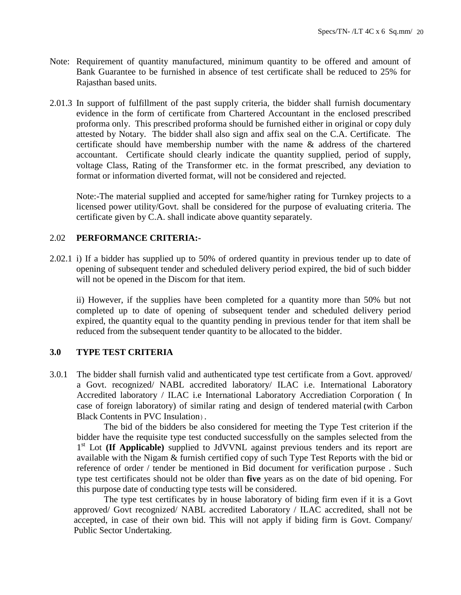- Note: Requirement of quantity manufactured, minimum quantity to be offered and amount of Bank Guarantee to be furnished in absence of test certificate shall be reduced to 25% for Rajasthan based units.
- 2.01.3 In support of fulfillment of the past supply criteria, the bidder shall furnish documentary evidence in the form of certificate from Chartered Accountant in the enclosed prescribed proforma only. This prescribed proforma should be furnished either in original or copy duly attested by Notary. The bidder shall also sign and affix seal on the C.A. Certificate. The certificate should have membership number with the name & address of the chartered accountant. Certificate should clearly indicate the quantity supplied, period of supply, voltage Class, Rating of the Transformer etc. in the format prescribed, any deviation to format or information diverted format, will not be considered and rejected.

Note:-The material supplied and accepted for same/higher rating for Turnkey projects to a licensed power utility/Govt. shall be considered for the purpose of evaluating criteria. The certificate given by C.A. shall indicate above quantity separately.

# 2.02 **PERFORMANCE CRITERIA:-**

2.02.1 i) If a bidder has supplied up to 50% of ordered quantity in previous tender up to date of opening of subsequent tender and scheduled delivery period expired, the bid of such bidder will not be opened in the Discom for that item.

ii) However, if the supplies have been completed for a quantity more than 50% but not completed up to date of opening of subsequent tender and scheduled delivery period expired, the quantity equal to the quantity pending in previous tender for that item shall be reduced from the subsequent tender quantity to be allocated to the bidder.

### **3.0 TYPE TEST CRITERIA**

3.0.1 The bidder shall furnish valid and authenticated type test certificate from a Govt. approved/ a Govt. recognized/ NABL accredited laboratory/ ILAC i.e. International Laboratory Accredited laboratory / ILAC i.e International Laboratory Accrediation Corporation ( In case of foreign laboratory) of similar rating and design of tendered material**(**with Carbon Black Contents in PVC Insulation).

The bid of the bidders be also considered for meeting the Type Test criterion if the bidder have the requisite type test conducted successfully on the samples selected from the 1<sup>st</sup> Lot (If Applicable) supplied to JdVVNL against previous tenders and its report are available with the Nigam & furnish certified copy of such Type Test Reports with the bid or reference of order / tender be mentioned in Bid document for verification purpose . Such type test certificates should not be older than **five** years as on the date of bid opening. For this purpose date of conducting type tests will be considered.

The type test certificates by in house laboratory of biding firm even if it is a Govt approved/ Govt recognized/ NABL accredited Laboratory / ILAC accredited, shall not be accepted, in case of their own bid. This will not apply if biding firm is Govt. Company/ Public Sector Undertaking.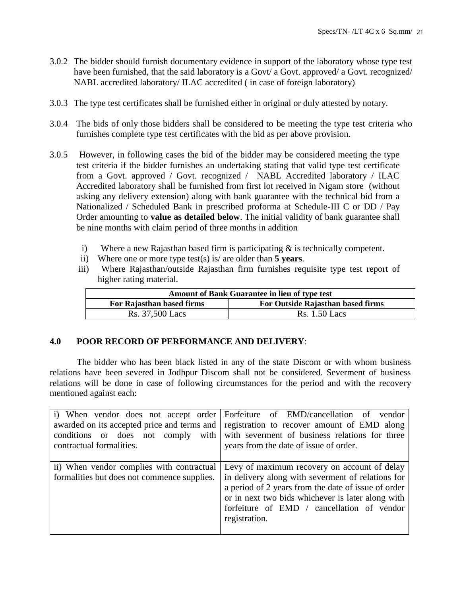- 3.0.2 The bidder should furnish documentary evidence in support of the laboratory whose type test have been furnished, that the said laboratory is a Govt/ a Govt. approved/ a Govt. recognized/ NABL accredited laboratory/ ILAC accredited ( in case of foreign laboratory)
- 3.0.3 The type test certificates shall be furnished either in original or duly attested by notary.
- 3.0.4 The bids of only those bidders shall be considered to be meeting the type test criteria who furnishes complete type test certificates with the bid as per above provision.
- 3.0.5 However, in following cases the bid of the bidder may be considered meeting the type test criteria if the bidder furnishes an undertaking stating that valid type test certificate from a Govt. approved / Govt. recognized / NABL Accredited laboratory / ILAC Accredited laboratory shall be furnished from first lot received in Nigam store (without asking any delivery extension) along with bank guarantee with the technical bid from a Nationalized / Scheduled Bank in prescribed proforma at Schedule-III C or DD / Pay Order amounting to **value as detailed below**. The initial validity of bank guarantee shall be nine months with claim period of three months in addition
	- i) Where a new Rajasthan based firm is participating  $\&$  is technically competent.
	- ii) Where one or more type test(s) is/ are older than **5 years**.
	- iii) Where Rajasthan/outside Rajasthan firm furnishes requisite type test report of higher rating material.

| <b>Amount of Bank Guarantee in lieu of type test</b>           |                      |  |  |
|----------------------------------------------------------------|----------------------|--|--|
| For Rajasthan based firms<br>For Outside Rajasthan based firms |                      |  |  |
| Rs. 37,500 Lacs                                                | <b>Rs.</b> 1.50 Lacs |  |  |

# **4.0 POOR RECORD OF PERFORMANCE AND DELIVERY**:

The bidder who has been black listed in any of the state Discom or with whom business relations have been severed in Jodhpur Discom shall not be considered. Severment of business relations will be done in case of following circumstances for the period and with the recovery mentioned against each:

| contractual formalities.                                                                 | i) When vendor does not accept order Forfeiture of EMD/cancellation of vendor<br>awarded on its accepted price and terms and registration to recover amount of EMD along<br>conditions or does not comply with with severment of business relations for three<br>years from the date of issue of order. |
|------------------------------------------------------------------------------------------|---------------------------------------------------------------------------------------------------------------------------------------------------------------------------------------------------------------------------------------------------------------------------------------------------------|
| ii) When vendor complies with contractual<br>formalities but does not commence supplies. | Levy of maximum recovery on account of delay<br>in delivery along with severment of relations for<br>a period of 2 years from the date of issue of order<br>or in next two bids whichever is later along with<br>forfeiture of EMD / cancellation of vendor<br>registration.                            |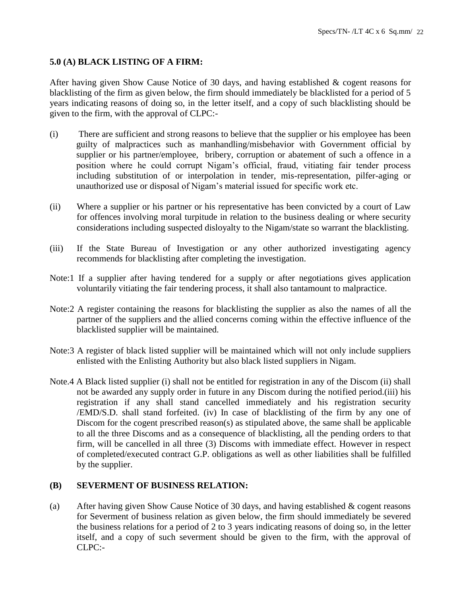# **5.0 (A) BLACK LISTING OF A FIRM:**

After having given Show Cause Notice of 30 days, and having established & cogent reasons for blacklisting of the firm as given below, the firm should immediately be blacklisted for a period of 5 years indicating reasons of doing so, in the letter itself, and a copy of such blacklisting should be given to the firm, with the approval of CLPC:-

- (i) There are sufficient and strong reasons to believe that the supplier or his employee has been guilty of malpractices such as manhandling/misbehavior with Government official by supplier or his partner/employee, bribery, corruption or abatement of such a offence in a position where he could corrupt Nigam's official, fraud, vitiating fair tender process including substitution of or interpolation in tender, mis-representation, pilfer-aging or unauthorized use or disposal of Nigam's material issued for specific work etc.
- (ii) Where a supplier or his partner or his representative has been convicted by a court of Law for offences involving moral turpitude in relation to the business dealing or where security considerations including suspected disloyalty to the Nigam/state so warrant the blacklisting.
- (iii) If the State Bureau of Investigation or any other authorized investigating agency recommends for blacklisting after completing the investigation.
- Note:1 If a supplier after having tendered for a supply or after negotiations gives application voluntarily vitiating the fair tendering process, it shall also tantamount to malpractice.
- Note:2 A register containing the reasons for blacklisting the supplier as also the names of all the partner of the suppliers and the allied concerns coming within the effective influence of the blacklisted supplier will be maintained.
- Note:3 A register of black listed supplier will be maintained which will not only include suppliers enlisted with the Enlisting Authority but also black listed suppliers in Nigam.
- Note.4 A Black listed supplier (i) shall not be entitled for registration in any of the Discom (ii) shall not be awarded any supply order in future in any Discom during the notified period.(iii) his registration if any shall stand cancelled immediately and his registration security /EMD/S.D. shall stand forfeited. (iv) In case of blacklisting of the firm by any one of Discom for the cogent prescribed reason(s) as stipulated above, the same shall be applicable to all the three Discoms and as a consequence of blacklisting, all the pending orders to that firm, will be cancelled in all three (3) Discoms with immediate effect. However in respect of completed/executed contract G.P. obligations as well as other liabilities shall be fulfilled by the supplier.

# **(B) SEVERMENT OF BUSINESS RELATION:**

(a) After having given Show Cause Notice of 30 days, and having established & cogent reasons for Severment of business relation as given below, the firm should immediately be severed the business relations for a period of 2 to 3 years indicating reasons of doing so, in the letter itself, and a copy of such severment should be given to the firm, with the approval of CLPC:-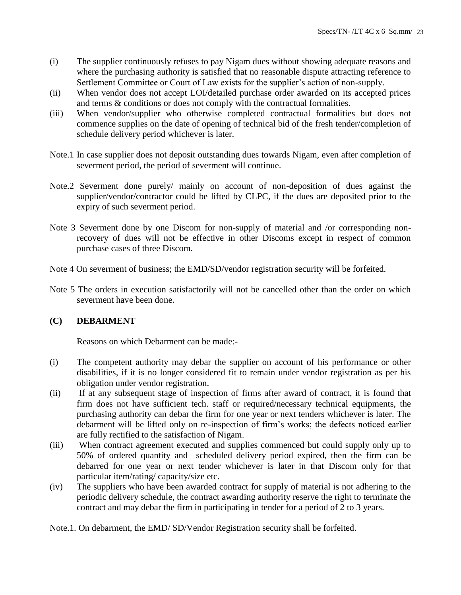- (i) The supplier continuously refuses to pay Nigam dues without showing adequate reasons and where the purchasing authority is satisfied that no reasonable dispute attracting reference to Settlement Committee or Court of Law exists for the supplier's action of non-supply.
- (ii) When vendor does not accept LOI/detailed purchase order awarded on its accepted prices and terms & conditions or does not comply with the contractual formalities.
- (iii) When vendor/supplier who otherwise completed contractual formalities but does not commence supplies on the date of opening of technical bid of the fresh tender/completion of schedule delivery period whichever is later.
- Note.1 In case supplier does not deposit outstanding dues towards Nigam, even after completion of severment period, the period of severment will continue.
- Note.2 Severment done purely/ mainly on account of non-deposition of dues against the supplier/vendor/contractor could be lifted by CLPC, if the dues are deposited prior to the expiry of such severment period.
- Note 3 Severment done by one Discom for non-supply of material and /or corresponding nonrecovery of dues will not be effective in other Discoms except in respect of common purchase cases of three Discom.
- Note 4 On severment of business; the EMD/SD/vendor registration security will be forfeited.
- Note 5 The orders in execution satisfactorily will not be cancelled other than the order on which severment have been done.

# **(C) DEBARMENT**

Reasons on which Debarment can be made:-

- (i) The competent authority may debar the supplier on account of his performance or other disabilities, if it is no longer considered fit to remain under vendor registration as per his obligation under vendor registration.
- (ii) If at any subsequent stage of inspection of firms after award of contract, it is found that firm does not have sufficient tech. staff or required/necessary technical equipments, the purchasing authority can debar the firm for one year or next tenders whichever is later. The debarment will be lifted only on re-inspection of firm's works; the defects noticed earlier are fully rectified to the satisfaction of Nigam.
- (iii) When contract agreement executed and supplies commenced but could supply only up to 50% of ordered quantity and scheduled delivery period expired, then the firm can be debarred for one year or next tender whichever is later in that Discom only for that particular item/rating/ capacity/size etc.
- (iv) The suppliers who have been awarded contract for supply of material is not adhering to the periodic delivery schedule, the contract awarding authority reserve the right to terminate the contract and may debar the firm in participating in tender for a period of 2 to 3 years.

Note.1. On debarment, the EMD/ SD/Vendor Registration security shall be forfeited.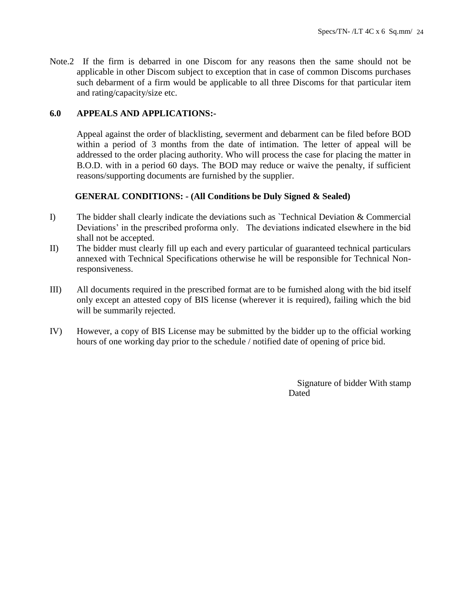Note.2 If the firm is debarred in one Discom for any reasons then the same should not be applicable in other Discom subject to exception that in case of common Discoms purchases such debarment of a firm would be applicable to all three Discoms for that particular item and rating/capacity/size etc.

# **6.0 APPEALS AND APPLICATIONS:-**

Appeal against the order of blacklisting, severment and debarment can be filed before BOD within a period of 3 months from the date of intimation. The letter of appeal will be addressed to the order placing authority. Who will process the case for placing the matter in B.O.D. with in a period 60 days. The BOD may reduce or waive the penalty, if sufficient reasons/supporting documents are furnished by the supplier.

# **GENERAL CONDITIONS: - (All Conditions be Duly Signed & Sealed)**

- I) The bidder shall clearly indicate the deviations such as  $\Gamma$  rechnical Deviation & Commercial Deviations' in the prescribed proforma only. The deviations indicated elsewhere in the bid shall not be accepted.
- II) The bidder must clearly fill up each and every particular of guaranteed technical particulars annexed with Technical Specifications otherwise he will be responsible for Technical Nonresponsiveness.
- III) All documents required in the prescribed format are to be furnished along with the bid itself only except an attested copy of BIS license (wherever it is required), failing which the bid will be summarily rejected.
- IV) However, a copy of BIS License may be submitted by the bidder up to the official working hours of one working day prior to the schedule / notified date of opening of price bid.

Signature of bidder With stamp **Dated**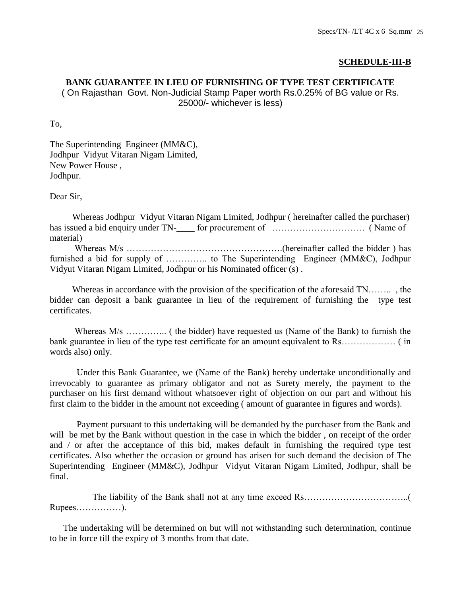# **SCHEDULE-III-B**

# **BANK GUARANTEE IN LIEU OF FURNISHING OF TYPE TEST CERTIFICATE**

( On Rajasthan Govt. Non-Judicial Stamp Paper worth Rs.0.25% of BG value or Rs. 25000/- whichever is less)

To,

The Superintending Engineer (MM&C), Jodhpur Vidyut Vitaran Nigam Limited, New Power House , Jodhpur.

Dear Sir,

 Whereas Jodhpur Vidyut Vitaran Nigam Limited, Jodhpur ( hereinafter called the purchaser) has issued a bid enquiry under TN-\_\_\_\_ for procurement of …………………………. ( Name of material)

 Whereas M/s …………………………………………….(hereinafter called the bidder ) has furnished a bid for supply of ………….. to The Superintending Engineer (MM&C), Jodhpur Vidyut Vitaran Nigam Limited, Jodhpur or his Nominated officer (s) .

 Whereas in accordance with the provision of the specification of the aforesaid TN…….. , the bidder can deposit a bank guarantee in lieu of the requirement of furnishing the type test certificates.

 Whereas M/s ………….. ( the bidder) have requested us (Name of the Bank) to furnish the bank guarantee in lieu of the type test certificate for an amount equivalent to Rs……………… ( in words also) only.

 Under this Bank Guarantee, we (Name of the Bank) hereby undertake unconditionally and irrevocably to guarantee as primary obligator and not as Surety merely, the payment to the purchaser on his first demand without whatsoever right of objection on our part and without his first claim to the bidder in the amount not exceeding ( amount of guarantee in figures and words).

 Payment pursuant to this undertaking will be demanded by the purchaser from the Bank and will be met by the Bank without question in the case in which the bidder, on receipt of the order and / or after the acceptance of this bid, makes default in furnishing the required type test certificates. Also whether the occasion or ground has arisen for such demand the decision of The Superintending Engineer (MM&C), Jodhpur Vidyut Vitaran Nigam Limited, Jodhpur, shall be final.

 The liability of the Bank shall not at any time exceed Rs……………………………..( Rupees……………).

 The undertaking will be determined on but will not withstanding such determination, continue to be in force till the expiry of 3 months from that date.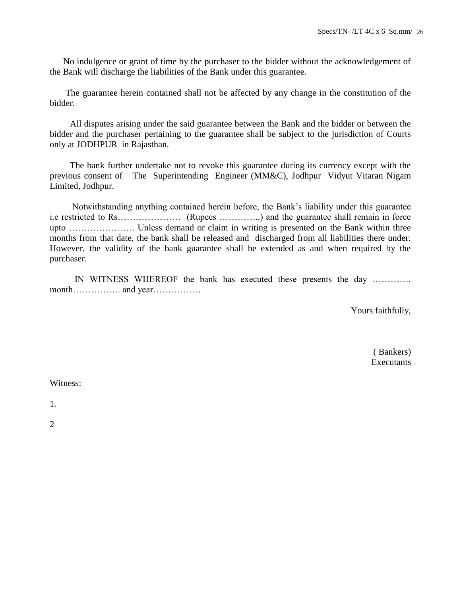No indulgence or grant of time by the purchaser to the bidder without the acknowledgement of the Bank will discharge the liabilities of the Bank under this guarantee.

 The guarantee herein contained shall not be affected by any change in the constitution of the bidder.

 All disputes arising under the said guarantee between the Bank and the bidder or between the bidder and the purchaser pertaining to the guarantee shall be subject to the jurisdiction of Courts only at JODHPUR in Rajasthan.

 The bank further undertake not to revoke this guarantee during its currency except with the previous consent of The Superintending Engineer (MM&C), Jodhpur Vidyut Vitaran Nigam Limited, Jodhpur.

 Notwithstanding anything contained herein before, the Bank's liability under this guarantee i.e restricted to Rs………………… (Rupees …………..) and the guarantee shall remain in force upto …………………. Unless demand or claim in writing is presented on the Bank within three months from that date, the bank shall be released and discharged from all liabilities there under. However, the validity of the bank guarantee shall be extended as and when required by the purchaser.

 IN WITNESS WHEREOF the bank has executed these presents the day …………. month……………. and year…………….

Yours faithfully,

 ( Bankers) **Executants** 

Witness:

1.

2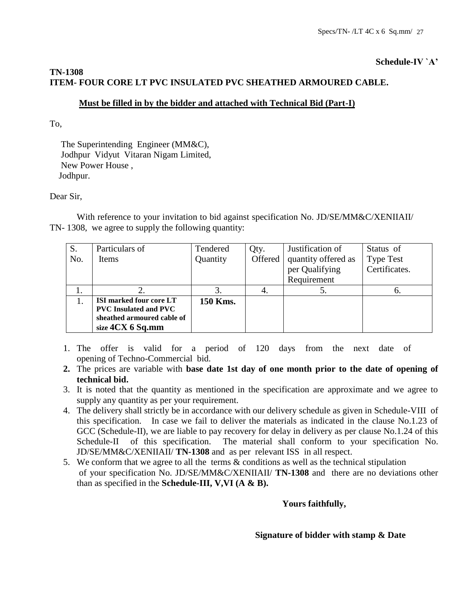# **Schedule-IV `A'**

# **TN-1308 ITEM- FOUR CORE LT PVC INSULATED PVC SHEATHED ARMOURED CABLE.**

# **Must be filled in by the bidder and attached with Technical Bid (Part-I)**

To,

 The Superintending Engineer (MM&C), Jodhpur Vidyut Vitaran Nigam Limited, New Power House , Jodhpur.

# Dear Sir,

With reference to your invitation to bid against specification No. JD/SE/MM&C/XENIIAII/ TN- 1308, we agree to supply the following quantity:

| S.  | Particulars of                 | Tendered | Qty.    | Justification of    | Status of        |
|-----|--------------------------------|----------|---------|---------------------|------------------|
| No. | <b>Items</b>                   | Quantity | Offered | quantity offered as | <b>Type Test</b> |
|     |                                |          |         | per Qualifying      | Certificates.    |
|     |                                |          |         | Requirement         |                  |
|     |                                |          | 4.      | ິ.                  | n.               |
|     | <b>ISI</b> marked four core LT | 150 Kms. |         |                     |                  |
|     | <b>PVC</b> Insulated and PVC   |          |         |                     |                  |
|     | sheathed armoured cable of     |          |         |                     |                  |
|     | size $4CX$ 6 Sq.mm             |          |         |                     |                  |

- 1. The offer is valid for a period of 120 days from the next date of opening of Techno-Commercial bid.
- **2.** The prices are variable with **base date 1st day of one month prior to the date of opening of technical bid.**
- 3. It is noted that the quantity as mentioned in the specification are approximate and we agree to supply any quantity as per your requirement.
- 4. The delivery shall strictly be in accordance with our delivery schedule as given in Schedule-VIII of this specification. In case we fail to deliver the materials as indicated in the clause No.1.23 of GCC (Schedule-II), we are liable to pay recovery for delay in delivery as per clause No.1.24 of this Schedule-II of this specification. The material shall conform to your specification No. JD/SE/MM&C/XENIIAII/ **TN-1308** and as per relevant ISS in all respect.
- 5. We conform that we agree to all the terms & conditions as well as the technical stipulation of your specification No. JD/SE/MM&C/XENIIAII/ **TN-1308** and there are no deviations other than as specified in the **Schedule-III, V,VI (A & B).**

# **Yours faithfully,**

# **Signature of bidder with stamp & Date**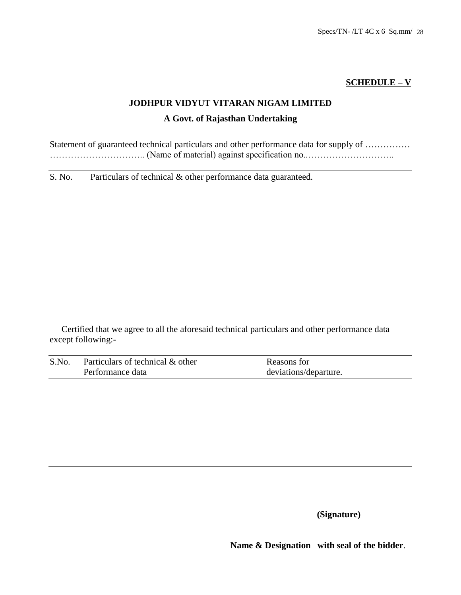# **SCHEDULE – V**

# **JODHPUR VIDYUT VITARAN NIGAM LIMITED**

# **A Govt. of Rajasthan Undertaking**

Statement of guaranteed technical particulars and other performance data for supply of ................ ………………………….. (Name of material) against specification no..………………………..

S. No. Particulars of technical & other performance data guaranteed.

Certified that we agree to all the aforesaid technical particulars and other performance data except following:-

| S.No. | Particulars of technical & other | Reasons for           |  |  |
|-------|----------------------------------|-----------------------|--|--|
|       | Performance data                 | deviations/departure. |  |  |

**(Signature)**

 **Name & Designation with seal of the bidder**.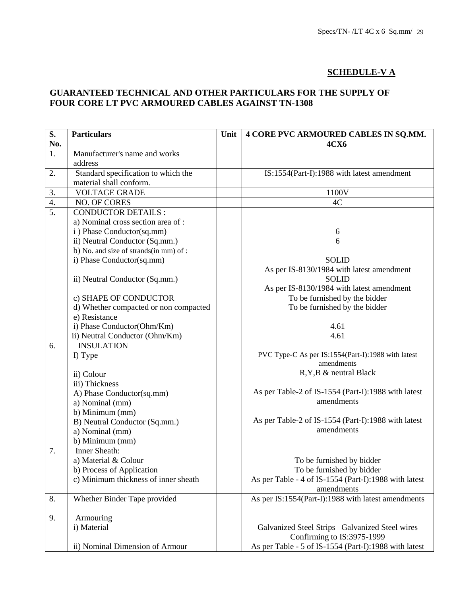# **SCHEDULE-V A**

# **GUARANTEED TECHNICAL AND OTHER PARTICULARS FOR THE SUPPLY OF FOUR CORE LT PVC ARMOURED CABLES AGAINST TN-1308**

| S.  | <b>Particulars</b>                    | Unit | 4 CORE PVC ARMOURED CABLES IN SQ.MM.                  |  |  |
|-----|---------------------------------------|------|-------------------------------------------------------|--|--|
| No. |                                       |      | <b>4CX6</b>                                           |  |  |
| 1.  | Manufacturer's name and works         |      |                                                       |  |  |
|     | address                               |      |                                                       |  |  |
| 2.  | Standard specification to which the   |      | IS:1554(Part-I):1988 with latest amendment            |  |  |
|     | material shall conform.               |      |                                                       |  |  |
| 3.  | <b>VOLTAGE GRADE</b>                  |      | 1100V                                                 |  |  |
| 4.  | NO. OF CORES                          |      | 4C                                                    |  |  |
| 5.  | <b>CONDUCTOR DETAILS:</b>             |      |                                                       |  |  |
|     | a) Nominal cross section area of :    |      |                                                       |  |  |
|     | i) Phase Conductor(sq.mm)             |      | 6                                                     |  |  |
|     | ii) Neutral Conductor (Sq.mm.)        |      | 6                                                     |  |  |
|     | b) No. and size of strands(in mm) of: |      |                                                       |  |  |
|     | i) Phase Conductor(sq.mm)             |      | <b>SOLID</b>                                          |  |  |
|     |                                       |      | As per IS-8130/1984 with latest amendment             |  |  |
|     | ii) Neutral Conductor (Sq.mm.)        |      | <b>SOLID</b>                                          |  |  |
|     |                                       |      | As per IS-8130/1984 with latest amendment             |  |  |
|     | c) SHAPE OF CONDUCTOR                 |      | To be furnished by the bidder                         |  |  |
|     | d) Whether compacted or non compacted |      | To be furnished by the bidder                         |  |  |
|     | e) Resistance                         |      |                                                       |  |  |
|     | i) Phase Conductor(Ohm/Km)            |      | 4.61                                                  |  |  |
|     | ii) Neutral Conductor (Ohm/Km)        |      | 4.61                                                  |  |  |
| 6.  | <b>INSULATION</b>                     |      |                                                       |  |  |
|     | I) Type                               |      | PVC Type-C As per IS:1554(Part-I):1988 with latest    |  |  |
|     |                                       |      | amendments                                            |  |  |
|     | ii) Colour                            |      | R, Y, B & neutral Black                               |  |  |
|     | iii) Thickness                        |      |                                                       |  |  |
|     | A) Phase Conductor(sq.mm)             |      | As per Table-2 of IS-1554 (Part-I):1988 with latest   |  |  |
|     | a) Nominal (mm)                       |      | amendments                                            |  |  |
|     | b) Minimum (mm)                       |      |                                                       |  |  |
|     | B) Neutral Conductor (Sq.mm.)         |      | As per Table-2 of IS-1554 (Part-I):1988 with latest   |  |  |
|     | a) Nominal (mm)                       |      | amendments                                            |  |  |
|     | b) Minimum (mm)                       |      |                                                       |  |  |
| 7.  | Inner Sheath:                         |      |                                                       |  |  |
|     | a) Material & Colour                  |      | To be furnished by bidder                             |  |  |
|     | b) Process of Application             |      | To be furnished by bidder                             |  |  |
|     | c) Minimum thickness of inner sheath  |      | As per Table - 4 of IS-1554 (Part-I):1988 with latest |  |  |
|     |                                       |      | amendments                                            |  |  |
| 8.  | Whether Binder Tape provided          |      | As per IS:1554(Part-I):1988 with latest amendments    |  |  |
|     |                                       |      |                                                       |  |  |
| 9.  | Armouring                             |      |                                                       |  |  |
|     | i) Material                           |      | Galvanized Steel Strips Galvanized Steel wires        |  |  |
|     |                                       |      | Confirming to IS:3975-1999                            |  |  |
|     | ii) Nominal Dimension of Armour       |      | As per Table - 5 of IS-1554 (Part-I):1988 with latest |  |  |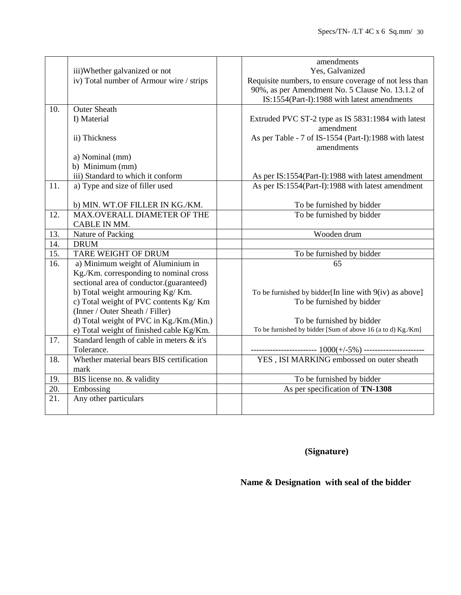|                   |                                           | amendments                                                  |
|-------------------|-------------------------------------------|-------------------------------------------------------------|
|                   | iii)Whether galvanized or not             | Yes, Galvanized                                             |
|                   | iv) Total number of Armour wire / strips  | Requisite numbers, to ensure coverage of not less than      |
|                   |                                           | 90%, as per Amendment No. 5 Clause No. 13.1.2 of            |
|                   |                                           | IS:1554(Part-I):1988 with latest amendments                 |
| 10.               | <b>Outer Sheath</b>                       |                                                             |
|                   | I) Material                               | Extruded PVC ST-2 type as IS 5831:1984 with latest          |
|                   |                                           | amendment                                                   |
|                   | ii) Thickness                             | As per Table - 7 of IS-1554 (Part-I):1988 with latest       |
|                   |                                           | amendments                                                  |
|                   | a) Nominal (mm)                           |                                                             |
|                   | b) Minimum (mm)                           |                                                             |
|                   | iii) Standard to which it conform         | As per IS:1554(Part-I):1988 with latest amendment           |
| 11.               | a) Type and size of filler used           | As per IS:1554(Part-I):1988 with latest amendment           |
|                   |                                           |                                                             |
|                   | b) MIN. WT.OF FILLER IN KG./KM.           | To be furnished by bidder                                   |
| 12.               | MAX.OVERALL DIAMETER OF THE               | To be furnished by bidder                                   |
|                   | CABLE IN MM.                              |                                                             |
| 13.               | Nature of Packing                         | Wooden drum                                                 |
| 14.               | <b>DRUM</b>                               |                                                             |
| $\overline{15}$ . | TARE WEIGHT OF DRUM                       | To be furnished by bidder                                   |
| 16.               | a) Minimum weight of Aluminium in         | 65                                                          |
|                   | Kg./Km. corresponding to nominal cross    |                                                             |
|                   | sectional area of conductor.(guaranteed)  |                                                             |
|                   | b) Total weight armouring Kg/Km.          | To be furnished by bidder[In line with $9(iv)$ as above]    |
|                   | c) Total weight of PVC contents Kg/Km     | To be furnished by bidder                                   |
|                   | (Inner / Outer Sheath / Filler)           |                                                             |
|                   | d) Total weight of PVC in Kg./Km.(Min.)   | To be furnished by bidder                                   |
|                   | e) Total weight of finished cable Kg/Km.  | To be furnished by bidder [Sum of above 16 (a to d) Kg./Km] |
| 17.               | Standard length of cable in meters & it's |                                                             |
|                   | Tolerance.                                |                                                             |
| 18.               | Whether material bears BIS certification  |                                                             |
|                   | mark                                      |                                                             |
| 19.               | BIS license no. & validity                | To be furnished by bidder                                   |
| $\overline{20}$ . | Embossing                                 | As per specification of TN-1308                             |
| 21.               | Any other particulars                     |                                                             |
|                   |                                           |                                                             |

 **(Signature)** 

# **Name & Designation with seal of the bidder**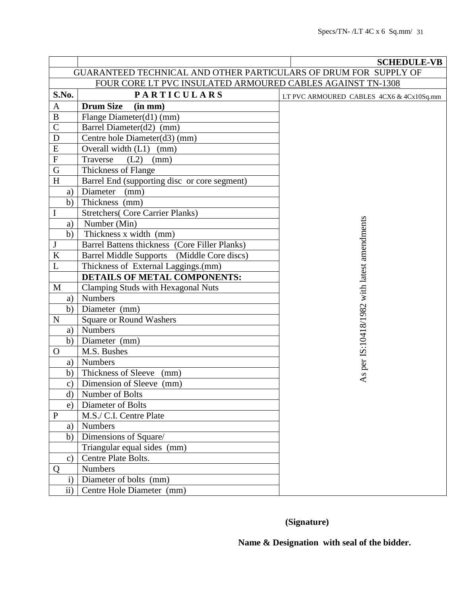|                                                                  |                                               | <b>SCHEDULE-VB</b>                          |  |  |  |
|------------------------------------------------------------------|-----------------------------------------------|---------------------------------------------|--|--|--|
| GUARANTEED TECHNICAL AND OTHER PARTICULARS OF DRUM FOR SUPPLY OF |                                               |                                             |  |  |  |
| FOUR CORE LT PVC INSULATED ARMOURED CABLES AGAINST TN-1308       |                                               |                                             |  |  |  |
| S.No.                                                            | <b>PARTICULARS</b>                            | LT PVC ARMOURED CABLES 4CX6 & 4Cx10Sq.mm    |  |  |  |
| A                                                                | <b>Drum Size</b><br>(in mm)                   |                                             |  |  |  |
| $\, {\bf B}$                                                     | Flange Diameter(d1) (mm)                      |                                             |  |  |  |
| $\mathsf{C}$                                                     | Barrel Diameter(d2) (mm)                      |                                             |  |  |  |
| ${\bf D}$                                                        | Centre hole Diameter(d3) (mm)                 |                                             |  |  |  |
| E                                                                | Overall width (L1) (mm)                       |                                             |  |  |  |
| $\overline{F}$                                                   | Traverse<br>(L2)<br>(mm)                      |                                             |  |  |  |
| $\mathbf G$                                                      | Thickness of Flange                           |                                             |  |  |  |
| $\boldsymbol{\mathrm{H}}$                                        | Barrel End (supporting disc or core segment)  |                                             |  |  |  |
| a)                                                               | Diameter<br>(mm)                              |                                             |  |  |  |
| b)                                                               | Thickness (mm)                                |                                             |  |  |  |
| $\bf I$                                                          | <b>Stretchers</b> (Core Carrier Planks)       |                                             |  |  |  |
| a)                                                               | Number (Min)                                  |                                             |  |  |  |
| b)                                                               | Thickness x width (mm)                        |                                             |  |  |  |
| $\mathbf{J}$                                                     | Barrel Battens thickness (Core Filler Planks) |                                             |  |  |  |
| $\bf K$                                                          | Barrel Middle Supports (Middle Core discs)    |                                             |  |  |  |
| L                                                                | Thickness of External Laggings.(mm)           |                                             |  |  |  |
|                                                                  | <b>DETAILS OF METAL COMPONENTS:</b>           |                                             |  |  |  |
| M                                                                | <b>Clamping Studs with Hexagonal Nuts</b>     |                                             |  |  |  |
| a)                                                               | <b>Numbers</b>                                |                                             |  |  |  |
| b)                                                               | Diameter (mm)                                 |                                             |  |  |  |
| $\mathbf N$                                                      | <b>Square or Round Washers</b>                |                                             |  |  |  |
| a)                                                               | <b>Numbers</b>                                |                                             |  |  |  |
| b)                                                               | Diameter (mm)                                 |                                             |  |  |  |
| $\mathbf{O}$                                                     | M.S. Bushes                                   |                                             |  |  |  |
| a)                                                               | <b>Numbers</b>                                |                                             |  |  |  |
| b)                                                               | Thickness of Sleeve (mm)                      | As per IS:10418/1982 with latest amendments |  |  |  |
| $\mathbf{c})$                                                    | Dimension of Sleeve (mm)                      |                                             |  |  |  |
| d)                                                               | Number of Bolts                               |                                             |  |  |  |
| e)                                                               | Diameter of Bolts                             |                                             |  |  |  |
| ${\bf P}$                                                        | M.S./ C.I. Centre Plate                       |                                             |  |  |  |
| a)                                                               | <b>Numbers</b>                                |                                             |  |  |  |
| b)                                                               | Dimensions of Square/                         |                                             |  |  |  |
|                                                                  | Triangular equal sides (mm)                   |                                             |  |  |  |
| $\mathbf{c})$                                                    | Centre Plate Bolts.                           |                                             |  |  |  |
| Q                                                                | <b>Numbers</b>                                |                                             |  |  |  |
| $\mathbf{i}$                                                     | Diameter of bolts (mm)                        |                                             |  |  |  |
| $\mathbf{ii}$                                                    | Centre Hole Diameter (mm)                     |                                             |  |  |  |

 **(Signature)**

 **Name & Designation with seal of the bidder.**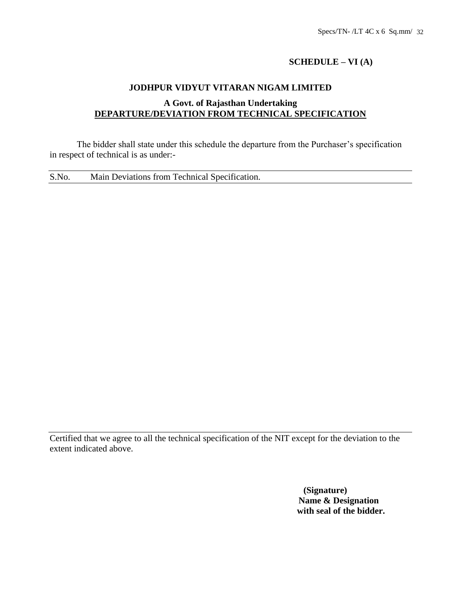# **SCHEDULE – VI (A)**

# **JODHPUR VIDYUT VITARAN NIGAM LIMITED**

# **A Govt. of Rajasthan Undertaking DEPARTURE/DEVIATION FROM TECHNICAL SPECIFICATION**

The bidder shall state under this schedule the departure from the Purchaser's specification in respect of technical is as under:-

S.No. Main Deviations from Technical Specification.

Certified that we agree to all the technical specification of the NIT except for the deviation to the extent indicated above.

> **(Signature) Name & Designation with seal of the bidder.**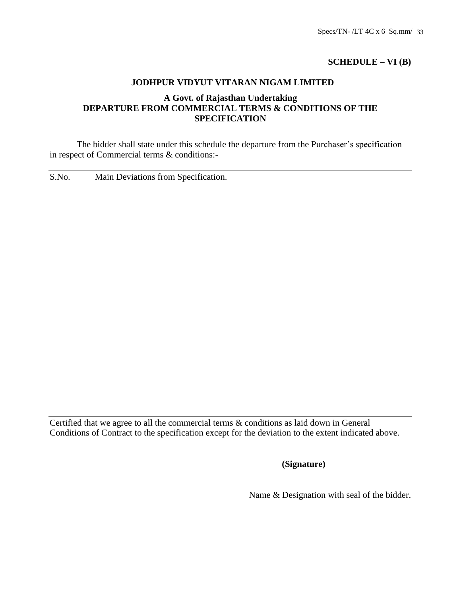# **SCHEDULE – VI (B)**

### **JODHPUR VIDYUT VITARAN NIGAM LIMITED**

# **A Govt. of Rajasthan Undertaking DEPARTURE FROM COMMERCIAL TERMS & CONDITIONS OF THE SPECIFICATION**

The bidder shall state under this schedule the departure from the Purchaser's specification in respect of Commercial terms & conditions:-

S.No. Main Deviations from Specification.

Certified that we agree to all the commercial terms & conditions as laid down in General Conditions of Contract to the specification except for the deviation to the extent indicated above.

# **(Signature)**

Name & Designation with seal of the bidder.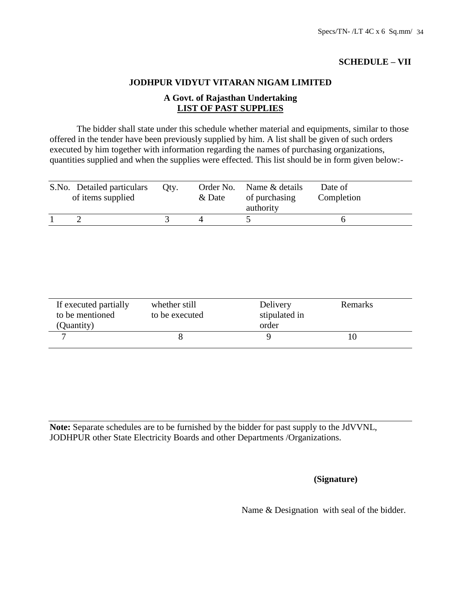# **SCHEDULE – VII**

### **JODHPUR VIDYUT VITARAN NIGAM LIMITED**

# **A Govt. of Rajasthan Undertaking LIST OF PAST SUPPLIES**

The bidder shall state under this schedule whether material and equipments, similar to those offered in the tender have been previously supplied by him. A list shall be given of such orders executed by him together with information regarding the names of purchasing organizations, quantities supplied and when the supplies were effected. This list should be in form given below:-

| S.No. Detailed particulars<br>of items supplied | Oty. | Order No.<br>& Date | Name & details<br>of purchasing<br>authority | Date of<br>Completion |
|-------------------------------------------------|------|---------------------|----------------------------------------------|-----------------------|
|                                                 |      |                     |                                              |                       |

| If executed partially<br>to be mentioned<br>(Quantity) | whether still<br>to be executed | Delivery<br>stipulated in<br>order | Remarks |  |
|--------------------------------------------------------|---------------------------------|------------------------------------|---------|--|
|                                                        |                                 |                                    |         |  |

**Note:** Separate schedules are to be furnished by the bidder for past supply to the JdVVNL, JODHPUR other State Electricity Boards and other Departments /Organizations.

# **(Signature)**

Name & Designation with seal of the bidder.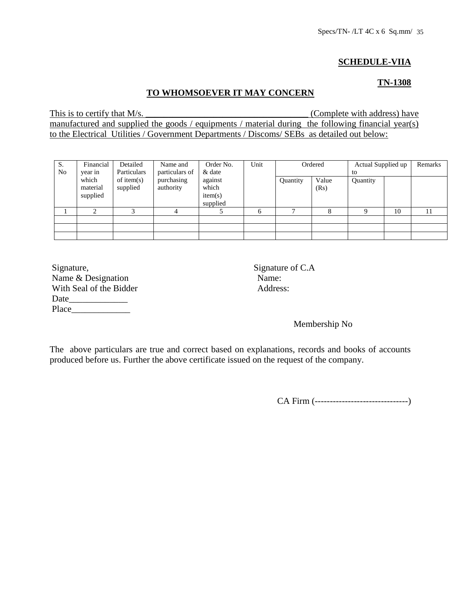# **SCHEDULE-VIIA**

### **TN-1308**

# **TO WHOMSOEVER IT MAY CONCERN**

This is to certify that M/s. \_\_\_\_\_\_\_\_\_\_\_\_\_\_\_\_\_\_\_\_\_\_\_\_\_\_\_\_\_\_\_\_\_\_\_\_ (Complete with address) have manufactured and supplied the goods / equipments / material during the following financial year(s) to the Electrical Utilities / Government Departments / Discoms/ SEBs as detailed out below:

| S.<br>N <sub>0</sub> | Financial<br>Detailed<br>Particulars<br>year in | Name and<br>particulars of | Order No.<br>& date     | Unit                                    | Ordered |              | Actual Supplied up<br>to |          | Remarks |    |
|----------------------|-------------------------------------------------|----------------------------|-------------------------|-----------------------------------------|---------|--------------|--------------------------|----------|---------|----|
|                      | which<br>material<br>supplied                   | of item $(s)$<br>supplied  | purchasing<br>authority | against<br>which<br>item(s)<br>supplied |         | Quantity     | Value<br>(Rs)            | Quantity |         |    |
|                      |                                                 |                            |                         |                                         | 6       | $\mathbf{r}$ | 8                        |          | 10      | 11 |
|                      |                                                 |                            |                         |                                         |         |              |                          |          |         |    |
|                      |                                                 |                            |                         |                                         |         |              |                          |          |         |    |
|                      |                                                 |                            |                         |                                         |         |              |                          |          |         |    |

| Signature,              | Signatu |
|-------------------------|---------|
| Name & Designation      | Name:   |
| With Seal of the Bidder | Addres  |
| Date                    |         |
| Place                   |         |

Signature of C.A. Address:

Membership No

The above particulars are true and correct based on explanations, records and books of accounts produced before us. Further the above certificate issued on the request of the company.

CA Firm (-------------------------------)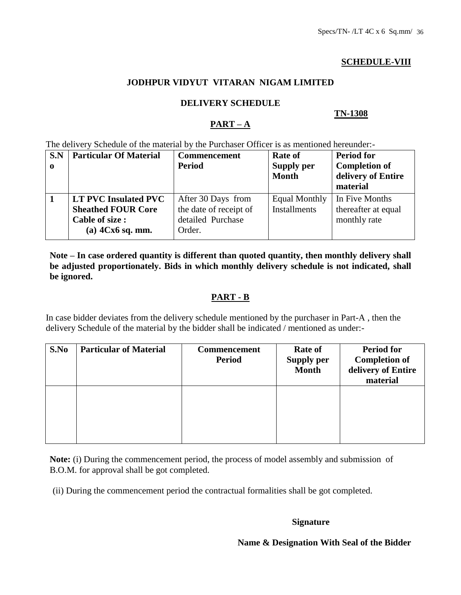# **SCHEDULE-VIII**

# **JODHPUR VIDYUT VITARAN NIGAM LIMITED**

### **DELIVERY SCHEDULE**

### **TN-1308**

# **PART – A**

The delivery Schedule of the material by the Purchaser Officer is as mentioned hereunder:-

| S.N<br>$\mathbf 0$ | <b>Particular Of Material</b> | <b>Commencement</b><br><b>Period</b> | Rate of<br><b>Supply per</b><br><b>Month</b> | <b>Period for</b><br><b>Completion of</b><br>delivery of Entire<br>material |
|--------------------|-------------------------------|--------------------------------------|----------------------------------------------|-----------------------------------------------------------------------------|
|                    | <b>LT PVC Insulated PVC</b>   | After 30 Days from                   | <b>Equal Monthly</b>                         | In Five Months                                                              |
|                    | <b>Sheathed FOUR Core</b>     | the date of receipt of               | <b>Installments</b>                          | thereafter at equal                                                         |
|                    | <b>Cable of size:</b>         | detailed Purchase                    |                                              | monthly rate                                                                |
|                    | (a) $4Cx6$ sq. mm.            | Order.                               |                                              |                                                                             |

**Note – In case ordered quantity is different than quoted quantity, then monthly delivery shall be adjusted proportionately. Bids in which monthly delivery schedule is not indicated, shall be ignored.**

# **PART - B**

In case bidder deviates from the delivery schedule mentioned by the purchaser in Part-A , then the delivery Schedule of the material by the bidder shall be indicated / mentioned as under:-

| S.No | <b>Particular of Material</b> | <b>Commencement</b><br><b>Period</b> | <b>Rate of</b><br><b>Supply per</b><br><b>Month</b> | <b>Period for</b><br><b>Completion of</b><br>delivery of Entire<br>material |
|------|-------------------------------|--------------------------------------|-----------------------------------------------------|-----------------------------------------------------------------------------|
|      |                               |                                      |                                                     |                                                                             |

**Note:** (i) During the commencement period, the process of model assembly and submission of B.O.M. for approval shall be got completed.

(ii) During the commencement period the contractual formalities shall be got completed.

### **Signature**

### **Name & Designation With Seal of the Bidder**